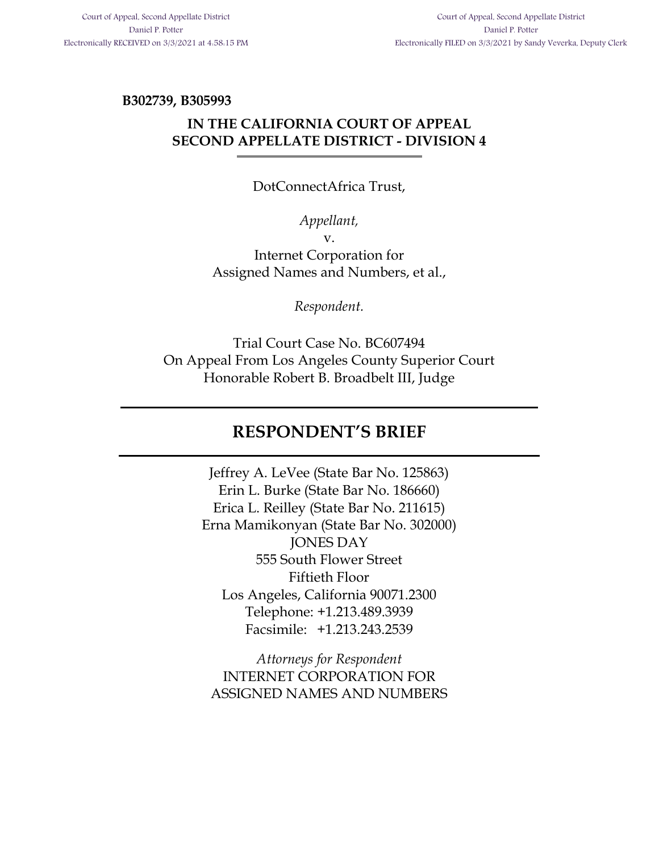**B302739, B305993**

## **IN THE CALIFORNIA COURT OF APPEAL SECOND APPELLATE DISTRICT - DIVISION 4**

#### DotConnectAfrica Trust,

#### *Appellant,*

v.

Internet Corporation for Assigned Names and Numbers, et al.,

*Respondent.*

Trial Court Case No. BC607494 On Appeal From Los Angeles County Superior Court Honorable Robert B. Broadbelt III, Judge

## **RESPONDENT'S BRIEF**

Jeffrey A. LeVee (State Bar No. 125863) Erin L. Burke (State Bar No. 186660) Erica L. Reilley (State Bar No. 211615) Erna Mamikonyan (State Bar No. 302000) JONES DAY 555 South Flower Street Fiftieth Floor Los Angeles, California 90071.2300 Telephone: +1.213.489.3939 Facsimile: +1.213.243.2539

*Attorneys for Respondent*  INTERNET CORPORATION FOR ASSIGNED NAMES AND NUMBERS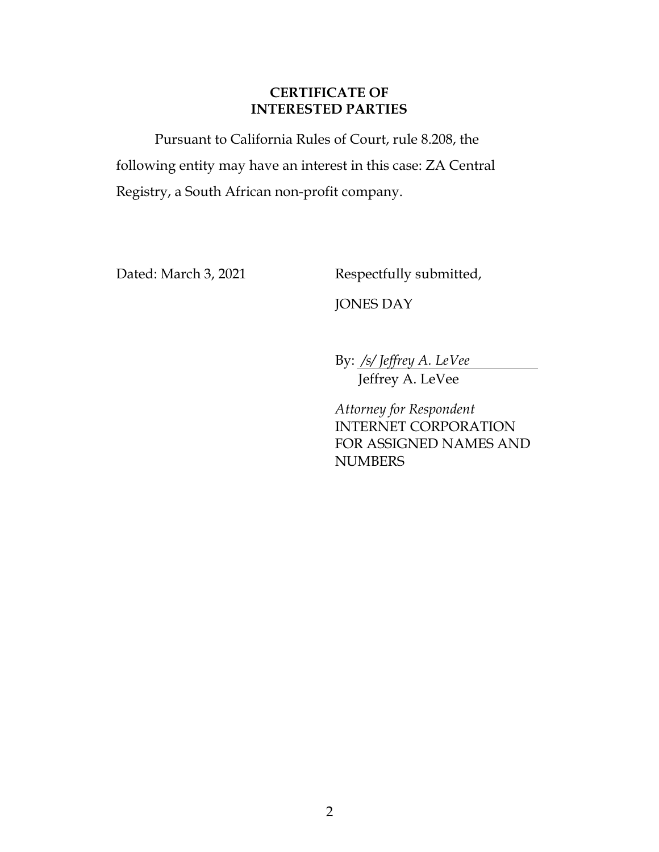#### **CERTIFICATE OF INTERESTED PARTIES**

Pursuant to California Rules of Court, rule 8.208, the following entity may have an interest in this case: ZA Central Registry, a South African non-profit company.

Dated: March 3, 2021 Respectfully submitted,

JONES DAY

By: */s/ Jeffrey A. LeVee* 

Jeffrey A. LeVee

*Attorney for Respondent*  INTERNET CORPORATION FOR ASSIGNED NAMES AND **NUMBERS**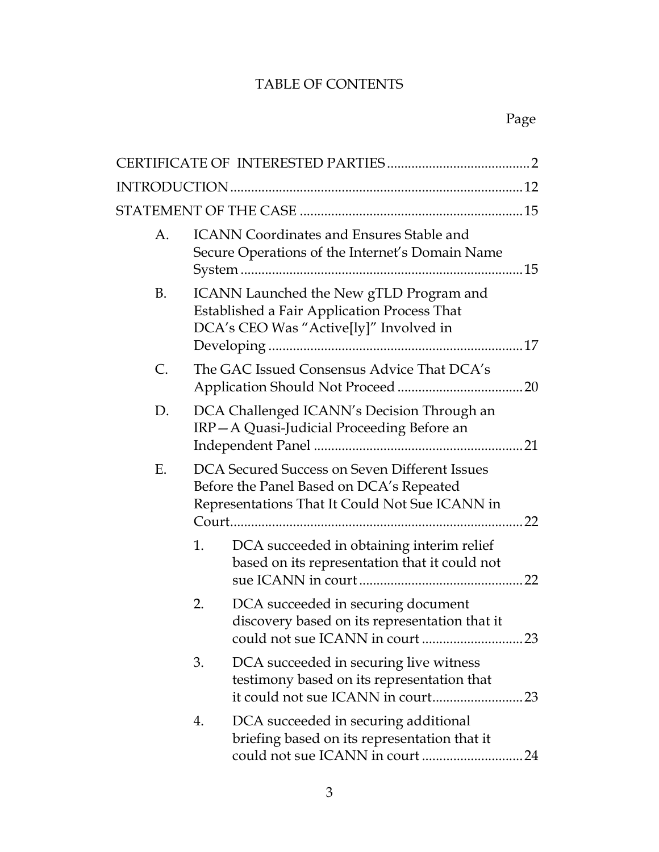## TABLE OF CONTENTS

| A. | <b>ICANN Coordinates and Ensures Stable and</b><br>Secure Operations of the Internet's Domain Name                                          |                                                                                                                                  |      |
|----|---------------------------------------------------------------------------------------------------------------------------------------------|----------------------------------------------------------------------------------------------------------------------------------|------|
| B. |                                                                                                                                             | ICANN Launched the New gTLD Program and<br>Established a Fair Application Process That<br>DCA's CEO Was "Active[ly]" Involved in |      |
| C. |                                                                                                                                             | The GAC Issued Consensus Advice That DCA's                                                                                       |      |
| D. |                                                                                                                                             | DCA Challenged ICANN's Decision Through an<br>IRP-A Quasi-Judicial Proceeding Before an                                          |      |
| Ε. | DCA Secured Success on Seven Different Issues<br>Before the Panel Based on DCA's Repeated<br>Representations That It Could Not Sue ICANN in |                                                                                                                                  | . 22 |
|    | 1.                                                                                                                                          | DCA succeeded in obtaining interim relief<br>based on its representation that it could not                                       |      |
|    | 2.                                                                                                                                          | DCA succeeded in securing document<br>discovery based on its representation that it<br>could not sue ICANN in court              | 23   |
|    | 3.                                                                                                                                          | DCA succeeded in securing live witness<br>testimony based on its representation that                                             |      |
|    | 4.                                                                                                                                          | DCA succeeded in securing additional<br>briefing based on its representation that it                                             |      |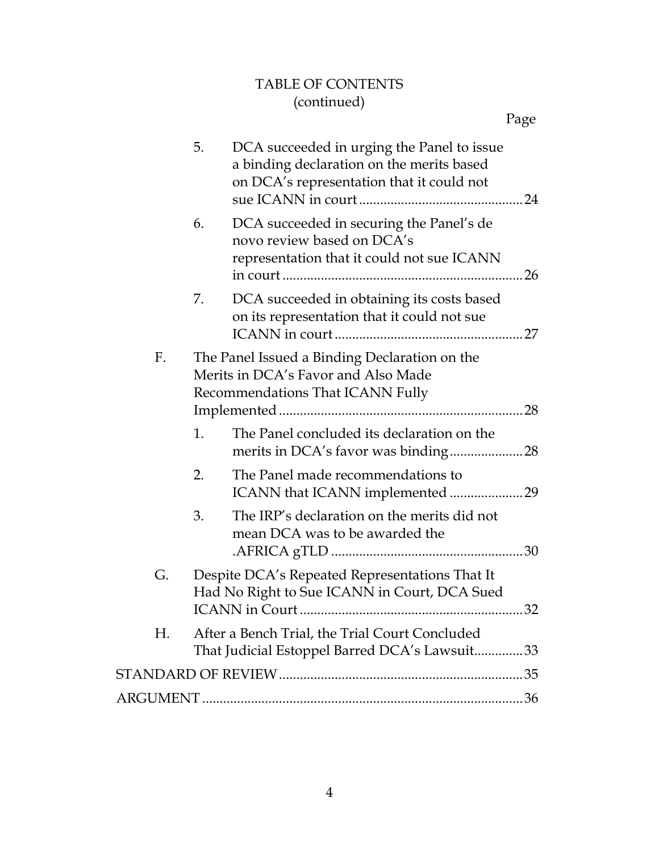## TABLE OF CONTENTS (continued)

|    | 5.                                                                                                                       | DCA succeeded in urging the Panel to issue<br>a binding declaration on the merits based<br>on DCA's representation that it could not |  |
|----|--------------------------------------------------------------------------------------------------------------------------|--------------------------------------------------------------------------------------------------------------------------------------|--|
|    | 6.                                                                                                                       | DCA succeeded in securing the Panel's de<br>novo review based on DCA's<br>representation that it could not sue ICANN                 |  |
|    | 7.                                                                                                                       | DCA succeeded in obtaining its costs based<br>on its representation that it could not sue                                            |  |
| F. | The Panel Issued a Binding Declaration on the<br>Merits in DCA's Favor and Also Made<br>Recommendations That ICANN Fully |                                                                                                                                      |  |
|    | 1.                                                                                                                       | The Panel concluded its declaration on the                                                                                           |  |
|    | 2.                                                                                                                       | The Panel made recommendations to<br>ICANN that ICANN implemented 29                                                                 |  |
|    | 3.                                                                                                                       | The IRP's declaration on the merits did not<br>mean DCA was to be awarded the                                                        |  |
| G. | Despite DCA's Repeated Representations That It<br>Had No Right to Sue ICANN in Court, DCA Sued                           |                                                                                                                                      |  |
| Н. |                                                                                                                          | After a Bench Trial, the Trial Court Concluded<br>That Judicial Estoppel Barred DCA's Lawsuit33                                      |  |
|    |                                                                                                                          |                                                                                                                                      |  |
|    |                                                                                                                          |                                                                                                                                      |  |
|    |                                                                                                                          |                                                                                                                                      |  |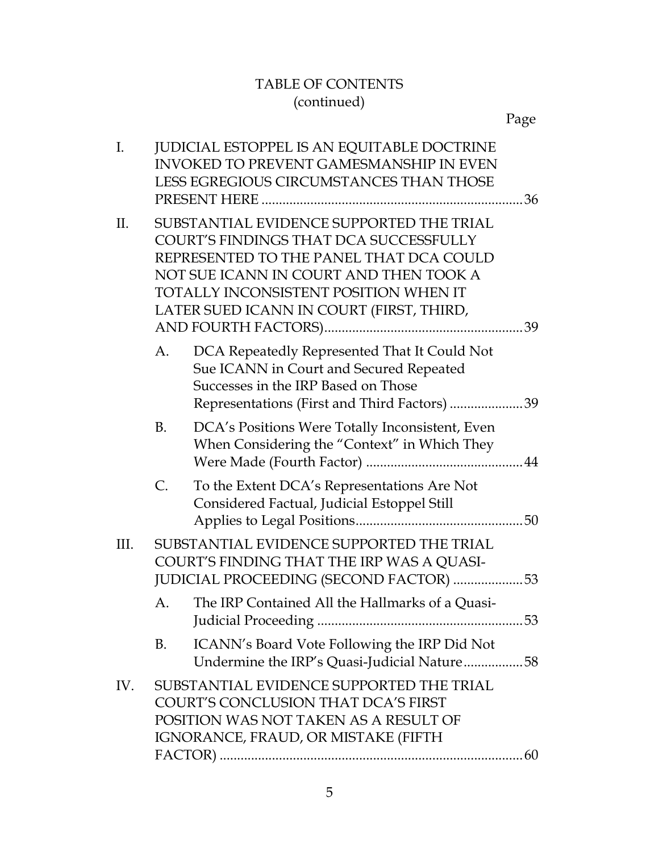## TABLE OF CONTENTS (continued)

| Ι.   |           | <b>JUDICIAL ESTOPPEL IS AN EQUITABLE DOCTRINE</b><br><b>INVOKED TO PREVENT GAMESMANSHIP IN EVEN</b><br>LESS EGREGIOUS CIRCUMSTANCES THAN THOSE                                                                                                               |  |
|------|-----------|--------------------------------------------------------------------------------------------------------------------------------------------------------------------------------------------------------------------------------------------------------------|--|
| II.  |           | SUBSTANTIAL EVIDENCE SUPPORTED THE TRIAL<br>COURT'S FINDINGS THAT DCA SUCCESSFULLY<br>REPRESENTED TO THE PANEL THAT DCA COULD<br>NOT SUE ICANN IN COURT AND THEN TOOK A<br>TOTALLY INCONSISTENT POSITION WHEN IT<br>LATER SUED ICANN IN COURT (FIRST, THIRD, |  |
|      | А.        | DCA Repeatedly Represented That It Could Not<br>Sue ICANN in Court and Secured Repeated<br>Successes in the IRP Based on Those<br>Representations (First and Third Factors) 39                                                                               |  |
|      | <b>B.</b> | DCA's Positions Were Totally Inconsistent, Even<br>When Considering the "Context" in Which They                                                                                                                                                              |  |
|      | C.        | To the Extent DCA's Representations Are Not<br>Considered Factual, Judicial Estoppel Still                                                                                                                                                                   |  |
| III. |           | SUBSTANTIAL EVIDENCE SUPPORTED THE TRIAL<br>COURT'S FINDING THAT THE IRP WAS A QUASI-<br>JUDICIAL PROCEEDING (SECOND FACTOR) 53                                                                                                                              |  |
|      | A.        | The IRP Contained All the Hallmarks of a Quasi-                                                                                                                                                                                                              |  |
|      | B.        | ICANN's Board Vote Following the IRP Did Not<br>Undermine the IRP's Quasi-Judicial Nature58                                                                                                                                                                  |  |
| IV.  |           | SUBSTANTIAL EVIDENCE SUPPORTED THE TRIAL<br>COURT'S CONCLUSION THAT DCA'S FIRST<br>POSITION WAS NOT TAKEN AS A RESULT OF<br>IGNORANCE, FRAUD, OR MISTAKE (FIFTH                                                                                              |  |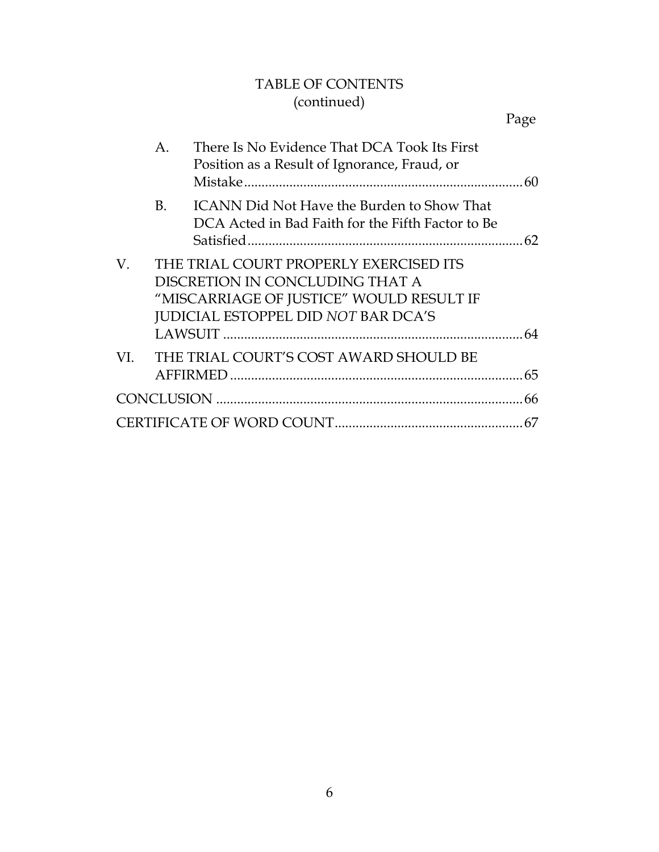## TABLE OF CONTENTS (continued)

|     | А.        | There Is No Evidence That DCA Took Its First<br>Position as a Result of Ignorance, Fraud, or                                                                 |  |
|-----|-----------|--------------------------------------------------------------------------------------------------------------------------------------------------------------|--|
|     | <b>B.</b> | <b>ICANN Did Not Have the Burden to Show That</b><br>DCA Acted in Bad Faith for the Fifth Factor to Be                                                       |  |
| V.  |           | THE TRIAL COURT PROPERLY EXERCISED ITS<br>DISCRETION IN CONCLUDING THAT A<br>"MISCARRIAGE OF JUSTICE" WOULD RESULT IF<br>JUDICIAL ESTOPPEL DID NOT BAR DCA'S |  |
| VI. |           | THE TRIAL COURT'S COST AWARD SHOULD BE                                                                                                                       |  |
|     |           |                                                                                                                                                              |  |
|     |           |                                                                                                                                                              |  |
|     |           |                                                                                                                                                              |  |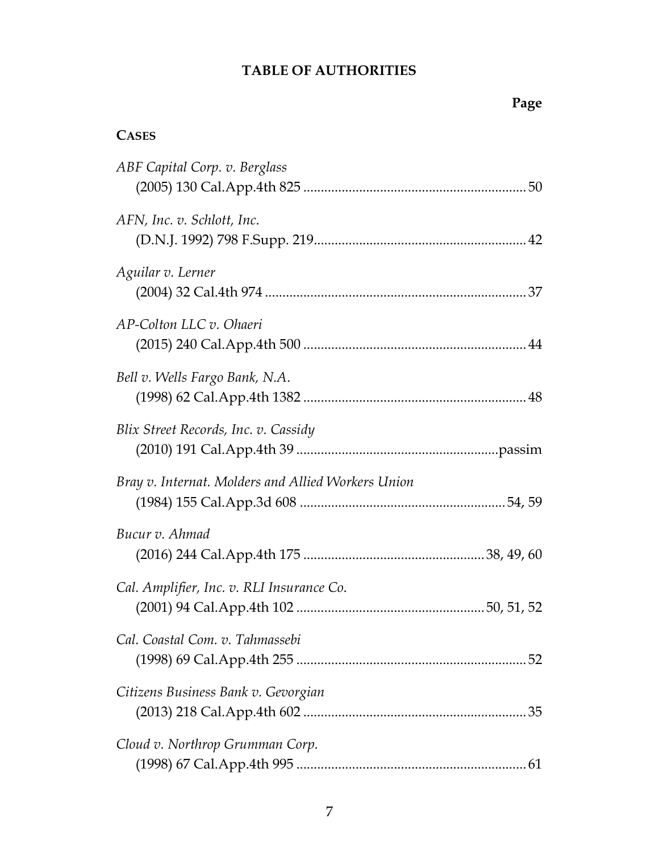## **TABLE OF AUTHORITIES**

## **Page**

## **CASES**

| ABF Capital Corp. v. Berglass                      |
|----------------------------------------------------|
| AFN, Inc. v. Schlott, Inc.                         |
| Aguilar v. Lerner                                  |
| AP-Colton LLC v. Ohaeri                            |
| Bell v. Wells Fargo Bank, N.A.                     |
| Blix Street Records, Inc. v. Cassidy               |
| Bray v. Internat. Molders and Allied Workers Union |
| Bucur v. Ahmad                                     |
| Cal. Amplifier, Inc. v. RLI Insurance Co.          |
| Cal. Coastal Com. v. Tahmassebi                    |
| Citizens Business Bank v. Gevorgian                |
| Cloud v. Northrop Grumman Corp.                    |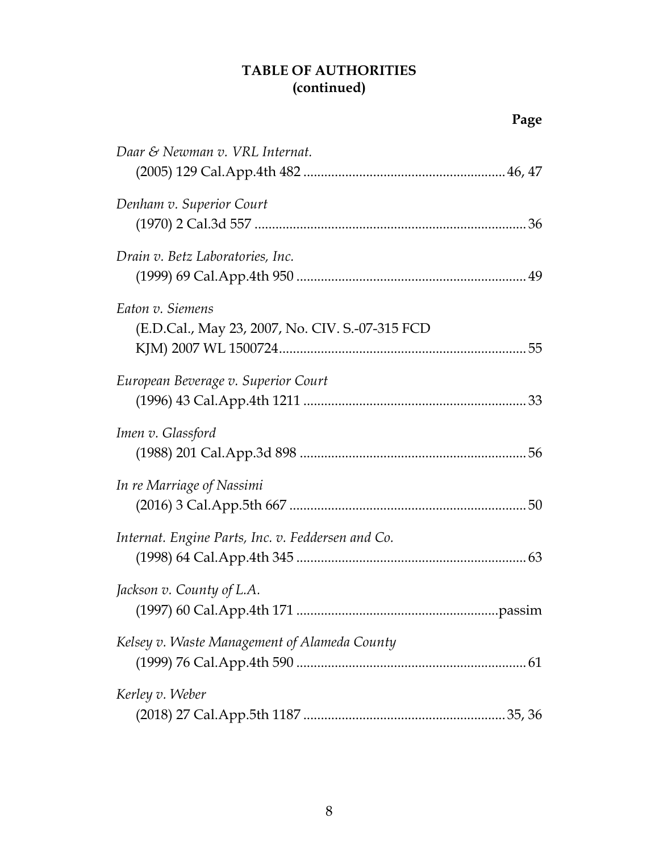## **TABLE OF AUTHORITIES (continued)**

| Daar & Newman v. VRL Internat.                                       |
|----------------------------------------------------------------------|
| Denham v. Superior Court                                             |
| Drain v. Betz Laboratories, Inc.                                     |
| Eaton v. Siemens<br>(E.D.Cal., May 23, 2007, No. CIV. S.-07-315 FCD) |
| European Beverage v. Superior Court                                  |
| Imen v. Glassford                                                    |
| In re Marriage of Nassimi                                            |
| Internat. Engine Parts, Inc. v. Feddersen and Co.                    |
| Jackson v. County of L.A.<br>passim                                  |
| Kelsey v. Waste Management of Alameda County                         |
| Kerley v. Weber                                                      |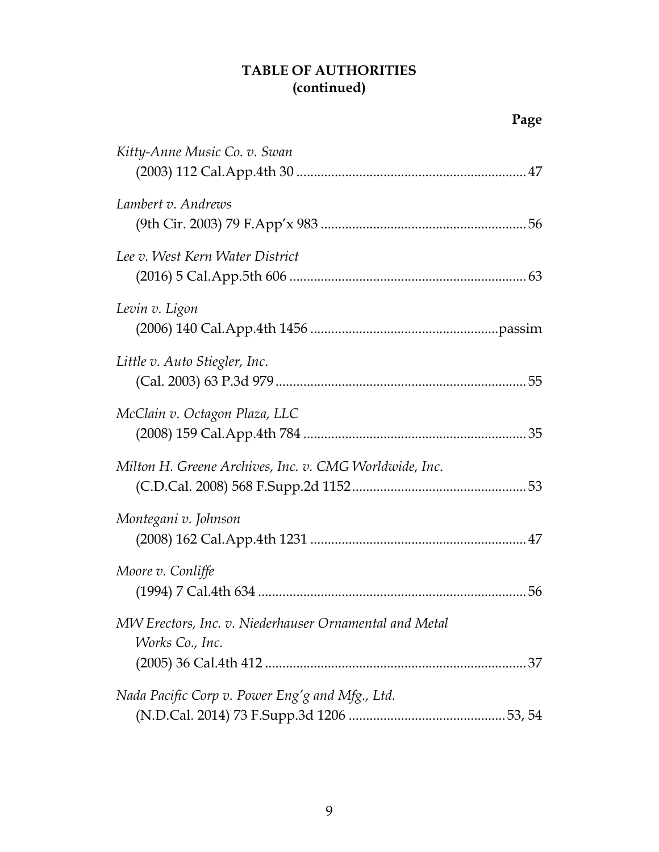## **TABLE OF AUTHORITIES (continued)**

| Kitty-Anne Music Co. v. Swan                                              |  |
|---------------------------------------------------------------------------|--|
| Lambert v. Andrews                                                        |  |
| Lee v. West Kern Water District                                           |  |
| Levin v. Ligon                                                            |  |
| Little v. Auto Stiegler, Inc.                                             |  |
| McClain v. Octagon Plaza, LLC                                             |  |
| Milton H. Greene Archives, Inc. v. CMG Worldwide, Inc.                    |  |
| Montegani v. Johnson                                                      |  |
| Moore v. Conliffe                                                         |  |
| MW Erectors, Inc. v. Niederhauser Ornamental and Metal<br>Works Co., Inc. |  |
|                                                                           |  |
| Nada Pacific Corp v. Power Eng'g and Mfg., Ltd.                           |  |
|                                                                           |  |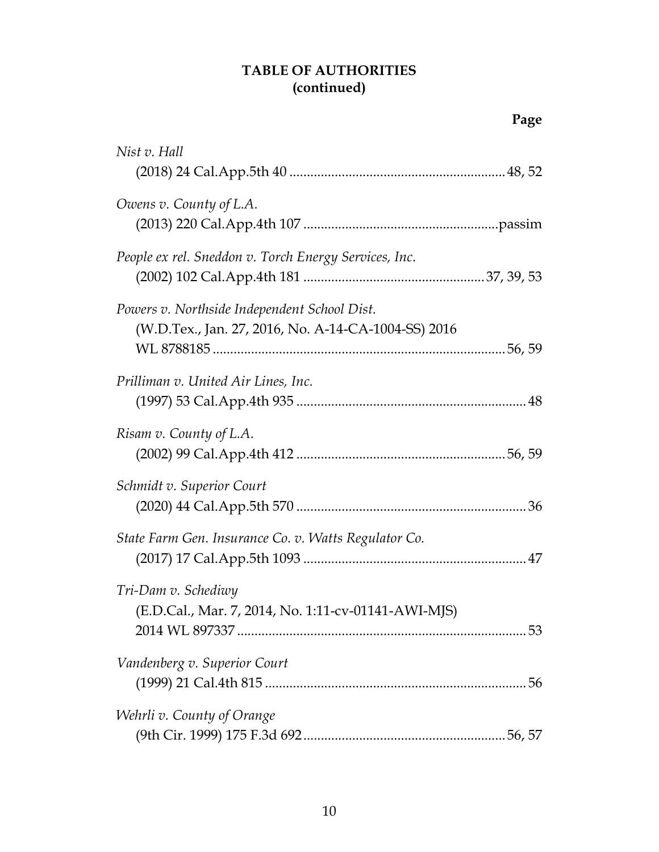## **TABLE OF AUTHORITIES (continued)**

| Nist v. Hall                                                                                        |  |
|-----------------------------------------------------------------------------------------------------|--|
|                                                                                                     |  |
| Owens v. County of L.A.                                                                             |  |
| People ex rel. Sneddon v. Torch Energy Services, Inc.                                               |  |
| Powers v. Northside Independent School Dist.<br>(W.D.Tex., Jan. 27, 2016, No. A-14-CA-1004-SS) 2016 |  |
| Prilliman v. United Air Lines, Inc.                                                                 |  |
| Risam v. County of L.A.                                                                             |  |
| Schmidt v. Superior Court                                                                           |  |
| State Farm Gen. Insurance Co. v. Watts Regulator Co.                                                |  |
| Tri-Dam v. Schediwy<br>(E.D.Cal., Mar. 7, 2014, No. 1:11-cv-01141-AWI-MJS)                          |  |
| Vandenberg v. Superior Court                                                                        |  |
| Wehrli v. County of Orange                                                                          |  |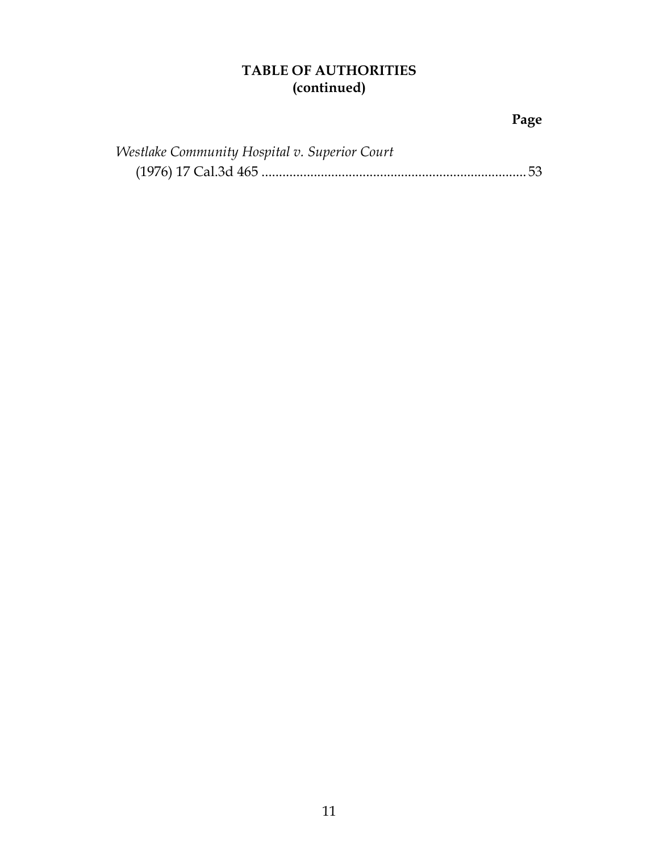## **TABLE OF AUTHORITIES (continued)**

| Westlake Community Hospital v. Superior Court |  |
|-----------------------------------------------|--|
|                                               |  |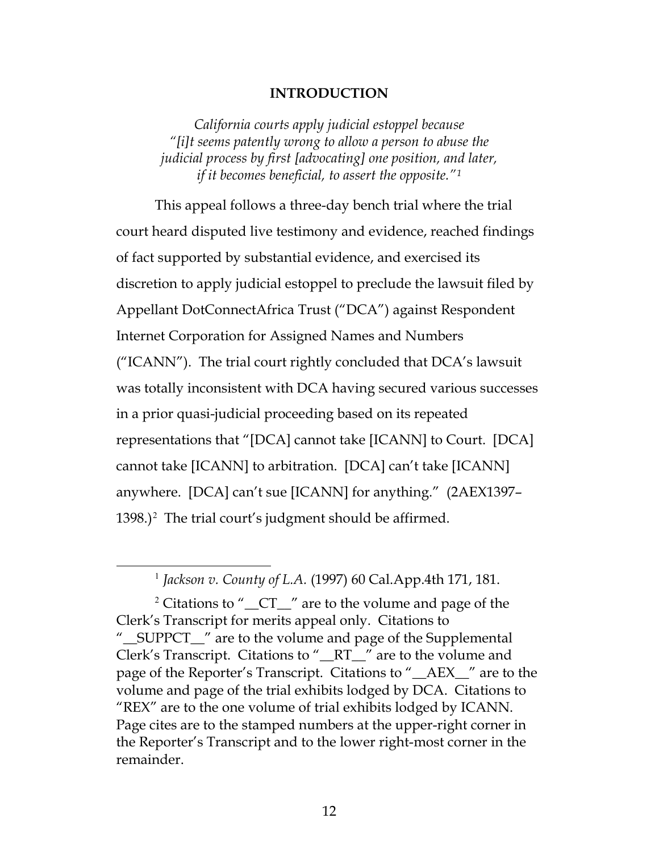#### **INTRODUCTION**

*California courts apply judicial estoppel because "[i]t seems patently wrong to allow a person to abuse the judicial process by first [advocating] one position, and later, if it becomes beneficial, to assert the opposite."[1](#page-11-1)*

This appeal follows a three-day bench trial where the trial court heard disputed live testimony and evidence, reached findings of fact supported by substantial evidence, and exercised its discretion to apply judicial estoppel to preclude the lawsuit filed by Appellant DotConnectAfrica Trust ("DCA") against Respondent Internet Corporation for Assigned Names and Numbers ("ICANN"). The trial court rightly concluded that DCA's lawsuit was totally inconsistent with DCA having secured various successes in a prior quasi-judicial proceeding based on its repeated representations that "[DCA] cannot take [ICANN] to Court. [DCA] cannot take [ICANN] to arbitration. [DCA] can't take [ICANN] anywhere. [DCA] can't sue [ICANN] for anything." (2AEX1397–  $1398$ .)<sup>[2](#page-11-2)</sup> The trial court's judgment should be affirmed.

<span id="page-11-0"></span> <sup>1</sup> *Jackson v. County of L.A.* (1997) 60 Cal.App.4th 171, 181.

<span id="page-11-2"></span><span id="page-11-1"></span><sup>&</sup>lt;sup>2</sup> Citations to " $\Gamma$   $\Gamma$ " are to the volume and page of the Clerk's Transcript for merits appeal only. Citations to "\_\_SUPPCT\_\_" are to the volume and page of the Supplemental Clerk's Transcript. Citations to "\_\_RT\_\_" are to the volume and page of the Reporter's Transcript. Citations to "\_\_AEX\_\_" are to the volume and page of the trial exhibits lodged by DCA. Citations to "REX" are to the one volume of trial exhibits lodged by ICANN. Page cites are to the stamped numbers at the upper-right corner in the Reporter's Transcript and to the lower right-most corner in the remainder.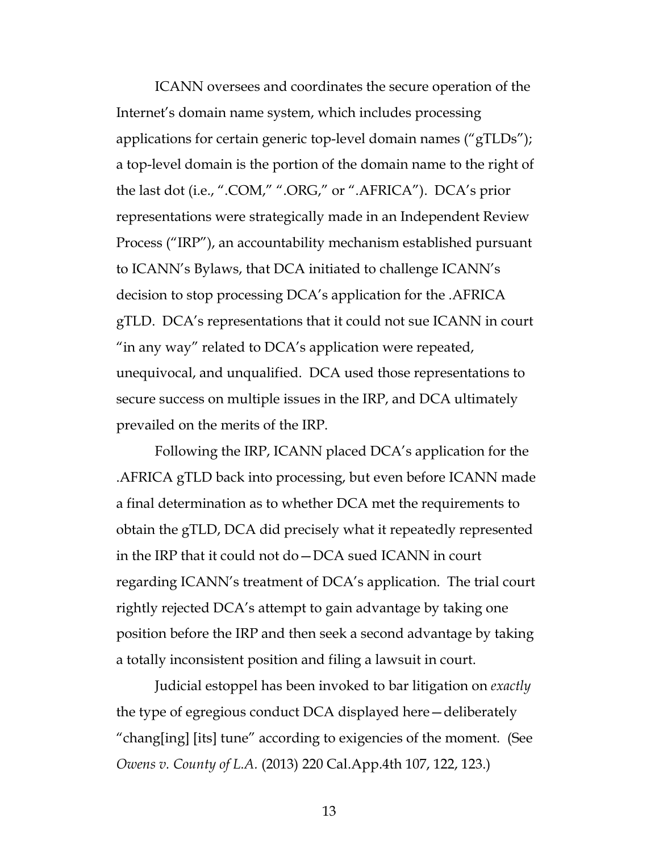ICANN oversees and coordinates the secure operation of the Internet's domain name system, which includes processing applications for certain generic top-level domain names ("gTLDs"); a top-level domain is the portion of the domain name to the right of the last dot (i.e., ".COM," ".ORG," or ".AFRICA"). DCA's prior representations were strategically made in an Independent Review Process ("IRP"), an accountability mechanism established pursuant to ICANN's Bylaws, that DCA initiated to challenge ICANN's decision to stop processing DCA's application for the .AFRICA gTLD. DCA's representations that it could not sue ICANN in court "in any way" related to DCA's application were repeated, unequivocal, and unqualified. DCA used those representations to secure success on multiple issues in the IRP, and DCA ultimately prevailed on the merits of the IRP.

Following the IRP, ICANN placed DCA's application for the .AFRICA gTLD back into processing, but even before ICANN made a final determination as to whether DCA met the requirements to obtain the gTLD, DCA did precisely what it repeatedly represented in the IRP that it could not do—DCA sued ICANN in court regarding ICANN's treatment of DCA's application. The trial court rightly rejected DCA's attempt to gain advantage by taking one position before the IRP and then seek a second advantage by taking a totally inconsistent position and filing a lawsuit in court.

<span id="page-12-0"></span>Judicial estoppel has been invoked to bar litigation on *exactly*  the type of egregious conduct DCA displayed here—deliberately "chang[ing] [its] tune" according to exigencies of the moment. (See *Owens v. County of L.A.* (2013) 220 Cal.App.4th 107, 122, 123.)

13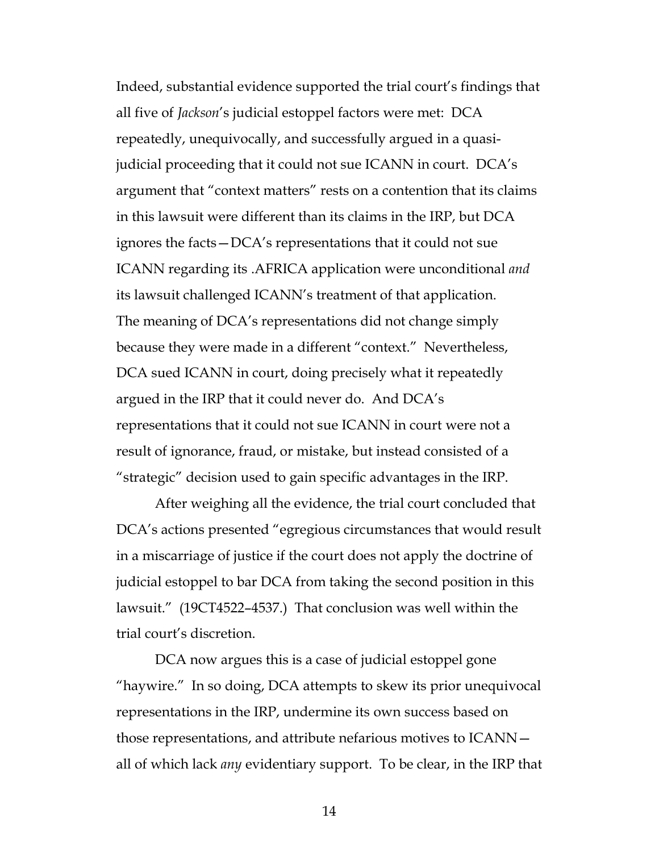Indeed, substantial evidence supported the trial court's findings that all five of *Jackson*'s judicial estoppel factors were met: DCA repeatedly, unequivocally, and successfully argued in a quasijudicial proceeding that it could not sue ICANN in court. DCA's argument that "context matters" rests on a contention that its claims in this lawsuit were different than its claims in the IRP, but DCA ignores the facts—DCA's representations that it could not sue ICANN regarding its .AFRICA application were unconditional *and* its lawsuit challenged ICANN's treatment of that application. The meaning of DCA's representations did not change simply because they were made in a different "context." Nevertheless, DCA sued ICANN in court, doing precisely what it repeatedly argued in the IRP that it could never do. And DCA's representations that it could not sue ICANN in court were not a result of ignorance, fraud, or mistake, but instead consisted of a "strategic" decision used to gain specific advantages in the IRP.

After weighing all the evidence, the trial court concluded that DCA's actions presented "egregious circumstances that would result in a miscarriage of justice if the court does not apply the doctrine of judicial estoppel to bar DCA from taking the second position in this lawsuit." (19CT4522–4537.) That conclusion was well within the trial court's discretion.

DCA now argues this is a case of judicial estoppel gone "haywire." In so doing, DCA attempts to skew its prior unequivocal representations in the IRP, undermine its own success based on those representations, and attribute nefarious motives to ICANN all of which lack *any* evidentiary support. To be clear, in the IRP that

14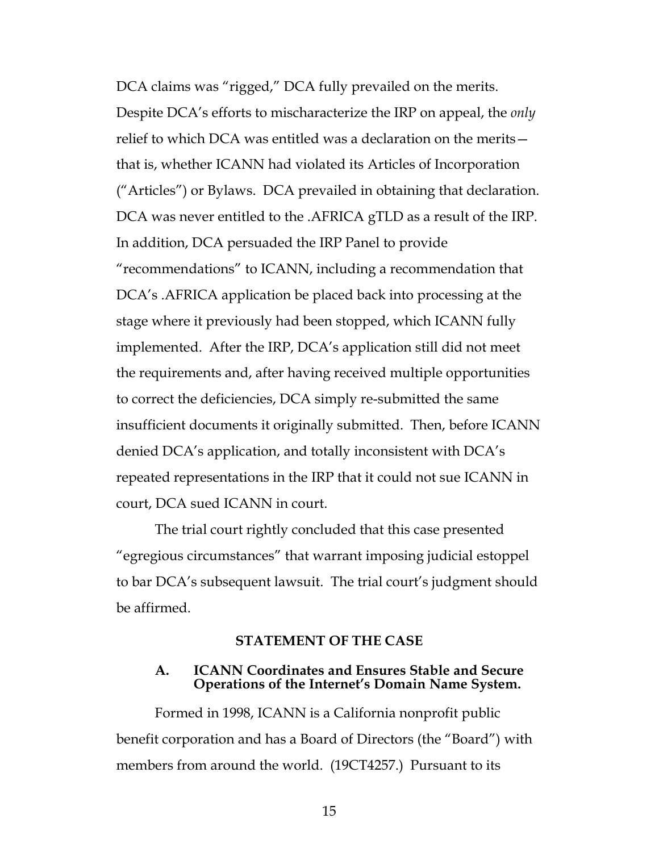DCA claims was "rigged," DCA fully prevailed on the merits. Despite DCA's efforts to mischaracterize the IRP on appeal, the *only* relief to which DCA was entitled was a declaration on the merits that is, whether ICANN had violated its Articles of Incorporation ("Articles") or Bylaws. DCA prevailed in obtaining that declaration. DCA was never entitled to the .AFRICA gTLD as a result of the IRP. In addition, DCA persuaded the IRP Panel to provide "recommendations" to ICANN, including a recommendation that DCA's .AFRICA application be placed back into processing at the stage where it previously had been stopped, which ICANN fully implemented. After the IRP, DCA's application still did not meet the requirements and, after having received multiple opportunities to correct the deficiencies, DCA simply re-submitted the same insufficient documents it originally submitted. Then, before ICANN denied DCA's application, and totally inconsistent with DCA's repeated representations in the IRP that it could not sue ICANN in court, DCA sued ICANN in court.

The trial court rightly concluded that this case presented "egregious circumstances" that warrant imposing judicial estoppel to bar DCA's subsequent lawsuit. The trial court's judgment should be affirmed.

#### **STATEMENT OF THE CASE**

#### **A. ICANN Coordinates and Ensures Stable and Secure Operations of the Internet's Domain Name System.**

Formed in 1998, ICANN is a California nonprofit public benefit corporation and has a Board of Directors (the "Board") with members from around the world. (19CT4257.) Pursuant to its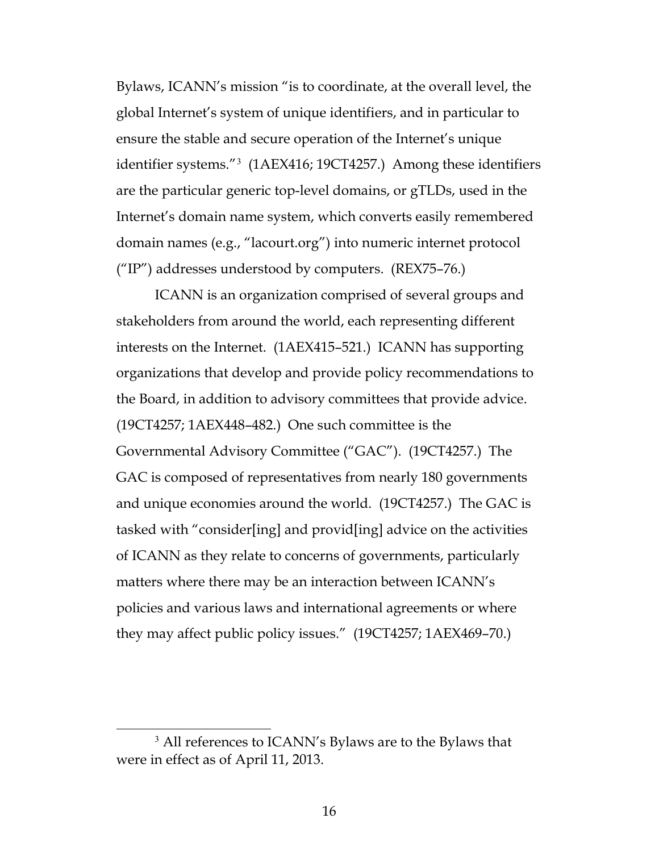Bylaws, ICANN's mission "is to coordinate, at the overall level, the global Internet's system of unique identifiers, and in particular to ensure the stable and secure operation of the Internet's unique identifier systems."[3](#page-15-0) (1AEX416; 19CT4257.) Among these identifiers are the particular generic top-level domains, or gTLDs, used in the Internet's domain name system, which converts easily remembered domain names (e.g., "lacourt.org") into numeric internet protocol  $(''IP'')$  addresses understood by computers. (REX75–76.)

ICANN is an organization comprised of several groups and stakeholders from around the world, each representing different interests on the Internet. (1AEX415–521.) ICANN has supporting organizations that develop and provide policy recommendations to the Board, in addition to advisory committees that provide advice. (19CT4257; 1AEX448–482.) One such committee is the Governmental Advisory Committee ("GAC"). (19CT4257.) The GAC is composed of representatives from nearly 180 governments and unique economies around the world. (19CT4257.) The GAC is tasked with "consider[ing] and provid[ing] advice on the activities of ICANN as they relate to concerns of governments, particularly matters where there may be an interaction between ICANN's policies and various laws and international agreements or where they may affect public policy issues." (19CT4257; 1AEX469–70.)

<span id="page-15-0"></span><sup>&</sup>lt;sup>3</sup> All references to ICANN's Bylaws are to the Bylaws that were in effect as of April 11, 2013.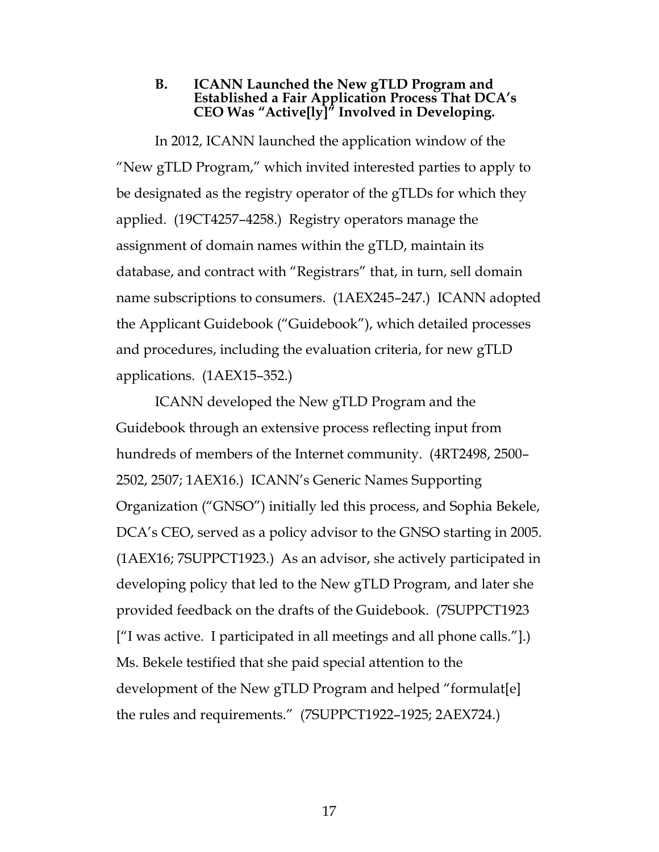#### **B. ICANN Launched the New gTLD Program and Established a Fair Application Process That DCA's CEO Was "Active[ly]" Involved in Developing.**

In 2012, ICANN launched the application window of the "New gTLD Program," which invited interested parties to apply to be designated as the registry operator of the gTLDs for which they applied. (19CT4257–4258.) Registry operators manage the assignment of domain names within the gTLD, maintain its database, and contract with "Registrars" that, in turn, sell domain name subscriptions to consumers. (1AEX245–247.) ICANN adopted the Applicant Guidebook ("Guidebook"), which detailed processes and procedures, including the evaluation criteria, for new gTLD applications. (1AEX15–352.)

ICANN developed the New gTLD Program and the Guidebook through an extensive process reflecting input from hundreds of members of the Internet community. (4RT2498, 2500– 2502, 2507; 1AEX16.) ICANN's Generic Names Supporting Organization ("GNSO") initially led this process, and Sophia Bekele, DCA's CEO, served as a policy advisor to the GNSO starting in 2005. (1AEX16; 7SUPPCT1923.) As an advisor, she actively participated in developing policy that led to the New gTLD Program, and later she provided feedback on the drafts of the Guidebook. (7SUPPCT1923 ["I was active. I participated in all meetings and all phone calls."].) Ms. Bekele testified that she paid special attention to the development of the New gTLD Program and helped "formulat[e] the rules and requirements." (7SUPPCT1922–1925; 2AEX724.)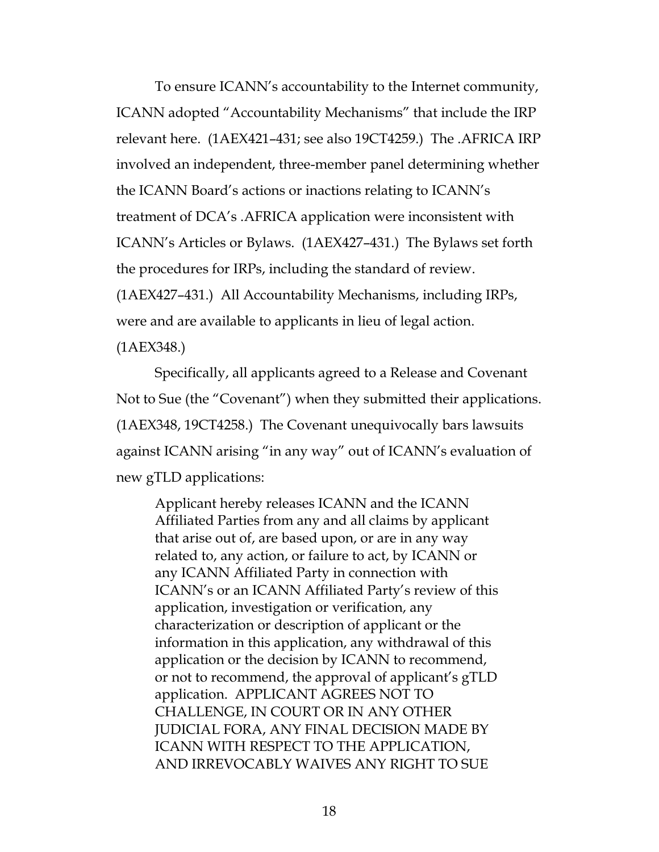To ensure ICANN's accountability to the Internet community, ICANN adopted "Accountability Mechanisms" that include the IRP relevant here. (1AEX421–431; see also 19CT4259.) The .AFRICA IRP involved an independent, three-member panel determining whether the ICANN Board's actions or inactions relating to ICANN's treatment of DCA's .AFRICA application were inconsistent with ICANN's Articles or Bylaws. (1AEX427–431.) The Bylaws set forth the procedures for IRPs, including the standard of review. (1AEX427–431.) All Accountability Mechanisms, including IRPs, were and are available to applicants in lieu of legal action. (1AEX348.)

Specifically, all applicants agreed to a Release and Covenant Not to Sue (the "Covenant") when they submitted their applications. (1AEX348, 19CT4258.) The Covenant unequivocally bars lawsuits against ICANN arising "in any way" out of ICANN's evaluation of new gTLD applications:

Applicant hereby releases ICANN and the ICANN Affiliated Parties from any and all claims by applicant that arise out of, are based upon, or are in any way related to, any action, or failure to act, by ICANN or any ICANN Affiliated Party in connection with ICANN's or an ICANN Affiliated Party's review of this application, investigation or verification, any characterization or description of applicant or the information in this application, any withdrawal of this application or the decision by ICANN to recommend, or not to recommend, the approval of applicant's gTLD application. APPLICANT AGREES NOT TO CHALLENGE, IN COURT OR IN ANY OTHER JUDICIAL FORA, ANY FINAL DECISION MADE BY ICANN WITH RESPECT TO THE APPLICATION, AND IRREVOCABLY WAIVES ANY RIGHT TO SUE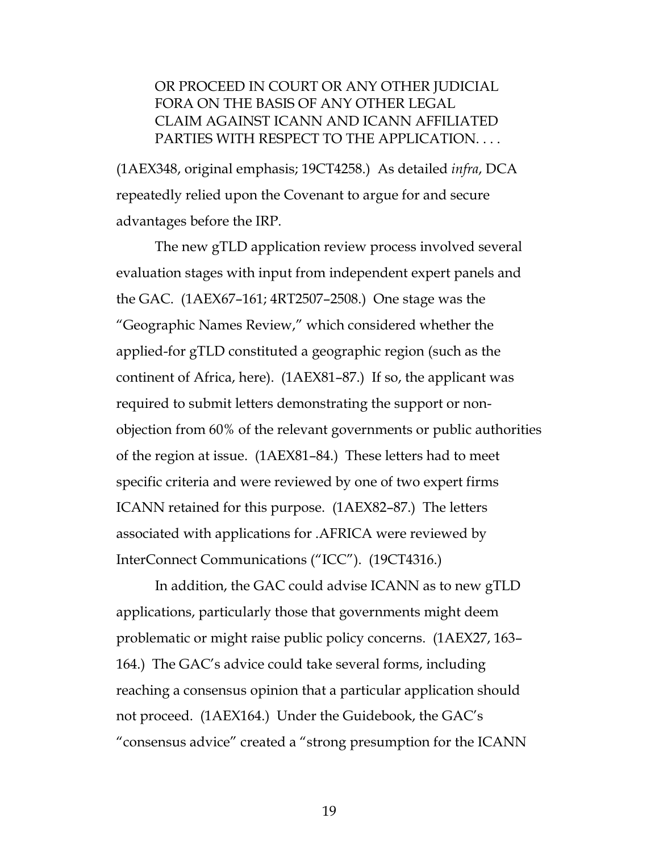#### OR PROCEED IN COURT OR ANY OTHER JUDICIAL FORA ON THE BASIS OF ANY OTHER LEGAL CLAIM AGAINST ICANN AND ICANN AFFILIATED PARTIES WITH RESPECT TO THE APPLICATION. . . .

(1AEX348, original emphasis; 19CT4258.) As detailed *infra*, DCA repeatedly relied upon the Covenant to argue for and secure advantages before the IRP.

The new gTLD application review process involved several evaluation stages with input from independent expert panels and the GAC. (1AEX67–161; 4RT2507–2508.) One stage was the "Geographic Names Review," which considered whether the applied-for gTLD constituted a geographic region (such as the continent of Africa, here). (1AEX81–87.) If so, the applicant was required to submit letters demonstrating the support or nonobjection from 60% of the relevant governments or public authorities of the region at issue. (1AEX81–84.) These letters had to meet specific criteria and were reviewed by one of two expert firms ICANN retained for this purpose. (1AEX82–87.) The letters associated with applications for .AFRICA were reviewed by InterConnect Communications ("ICC"). (19CT4316.)

In addition, the GAC could advise ICANN as to new gTLD applications, particularly those that governments might deem problematic or might raise public policy concerns. (1AEX27, 163– 164.) The GAC's advice could take several forms, including reaching a consensus opinion that a particular application should not proceed. (1AEX164.) Under the Guidebook, the GAC's "consensus advice" created a "strong presumption for the ICANN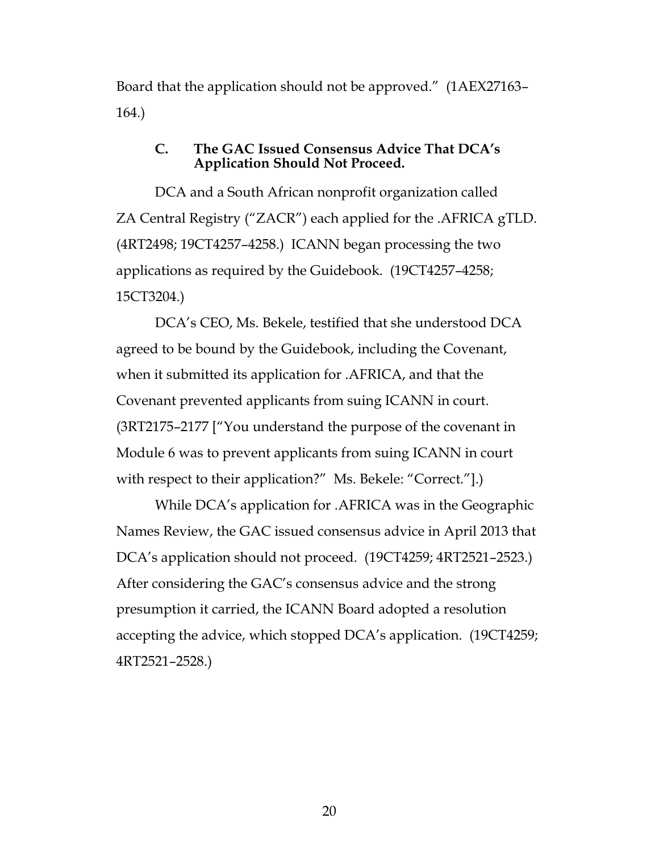Board that the application should not be approved." (1AEX27163– 164.)

#### **C. The GAC Issued Consensus Advice That DCA's Application Should Not Proceed.**

DCA and a South African nonprofit organization called ZA Central Registry ("ZACR") each applied for the .AFRICA gTLD. (4RT2498; 19CT4257–4258.) ICANN began processing the two applications as required by the Guidebook. (19CT4257–4258; 15CT3204.)

DCA's CEO, Ms. Bekele, testified that she understood DCA agreed to be bound by the Guidebook, including the Covenant, when it submitted its application for .AFRICA, and that the Covenant prevented applicants from suing ICANN in court. (3RT2175–2177 ["You understand the purpose of the covenant in Module 6 was to prevent applicants from suing ICANN in court with respect to their application?" Ms. Bekele: "Correct."].)

While DCA's application for .AFRICA was in the Geographic Names Review, the GAC issued consensus advice in April 2013 that DCA's application should not proceed. (19CT4259; 4RT2521–2523.) After considering the GAC's consensus advice and the strong presumption it carried, the ICANN Board adopted a resolution accepting the advice, which stopped DCA's application. (19CT4259; 4RT2521–2528.)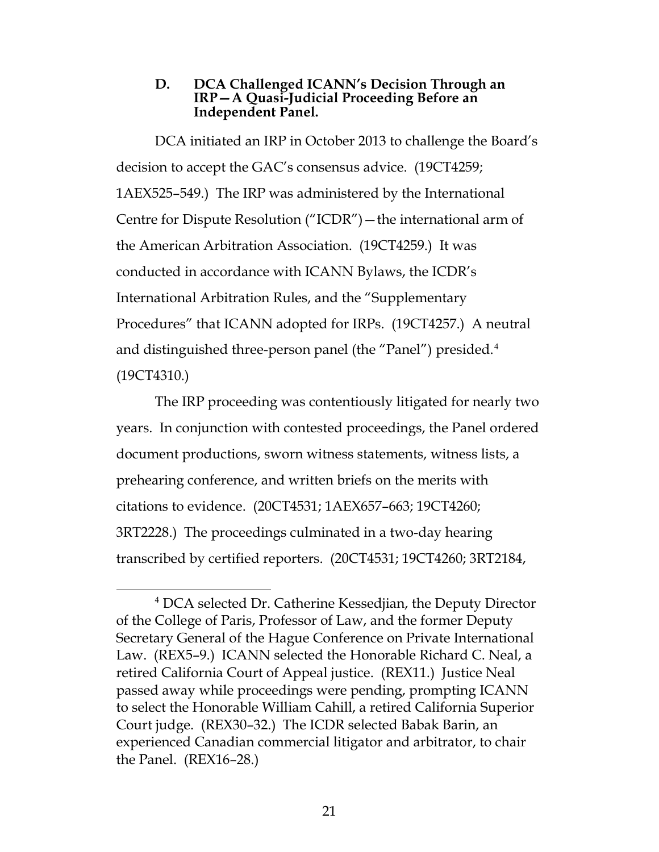#### **D. DCA Challenged ICANN's Decision Through an IRP—A Quasi-Judicial Proceeding Before an Independent Panel.**

DCA initiated an IRP in October 2013 to challenge the Board's decision to accept the GAC's consensus advice. (19CT4259; 1AEX525–549.) The IRP was administered by the International Centre for Dispute Resolution ("ICDR")—the international arm of the American Arbitration Association. (19CT4259.) It was conducted in accordance with ICANN Bylaws, the ICDR's International Arbitration Rules, and the "Supplementary Procedures" that ICANN adopted for IRPs. (19CT4257.) A neutral and distinguished three-person panel (the "Panel") presided.<sup>[4](#page-20-0)</sup> (19CT4310.)

The IRP proceeding was contentiously litigated for nearly two years. In conjunction with contested proceedings, the Panel ordered document productions, sworn witness statements, witness lists, a prehearing conference, and written briefs on the merits with citations to evidence. (20CT4531; 1AEX657–663; 19CT4260; 3RT2228.) The proceedings culminated in a two-day hearing transcribed by certified reporters. (20CT4531; 19CT4260; 3RT2184,

<span id="page-20-0"></span> <sup>4</sup> DCA selected Dr. Catherine Kessedjian, the Deputy Director of the College of Paris, Professor of Law, and the former Deputy Secretary General of the Hague Conference on Private International Law. (REX5–9.) ICANN selected the Honorable Richard C. Neal, a retired California Court of Appeal justice. (REX11.) Justice Neal passed away while proceedings were pending, prompting ICANN to select the Honorable William Cahill, a retired California Superior Court judge. (REX30–32.) The ICDR selected Babak Barin, an experienced Canadian commercial litigator and arbitrator, to chair the Panel. (REX16–28.)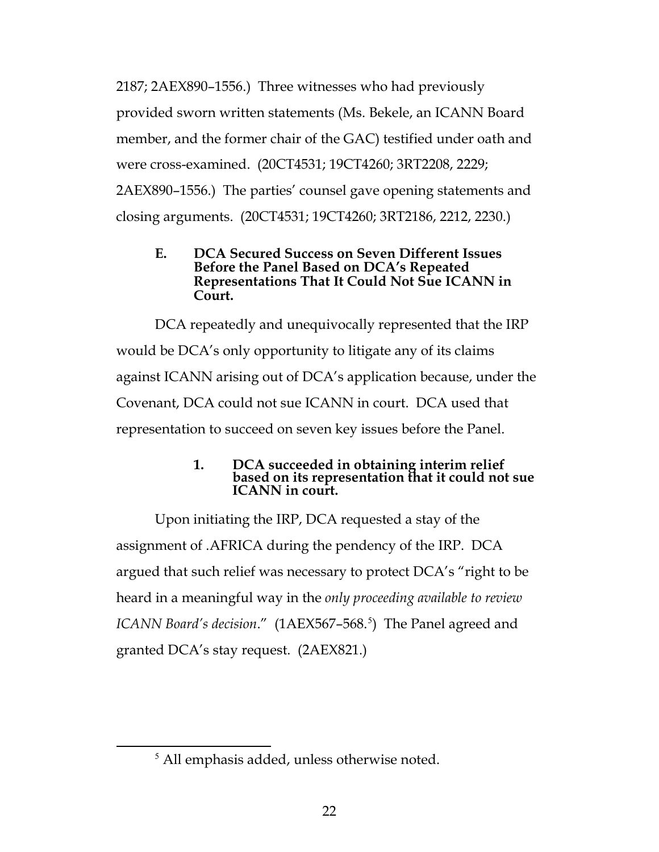2187; 2AEX890–1556.) Three witnesses who had previously provided sworn written statements (Ms. Bekele, an ICANN Board member, and the former chair of the GAC) testified under oath and were cross-examined. (20CT4531; 19CT4260; 3RT2208, 2229; 2AEX890–1556.) The parties' counsel gave opening statements and closing arguments. (20CT4531; 19CT4260; 3RT2186, 2212, 2230.)

#### **E. DCA Secured Success on Seven Different Issues Before the Panel Based on DCA's Repeated Representations That It Could Not Sue ICANN in Court.**

DCA repeatedly and unequivocally represented that the IRP would be DCA's only opportunity to litigate any of its claims against ICANN arising out of DCA's application because, under the Covenant, DCA could not sue ICANN in court. DCA used that representation to succeed on seven key issues before the Panel.

## **1. DCA succeeded in obtaining interim relief based on its representation that it could not sue ICANN in court.**

Upon initiating the IRP, DCA requested a stay of the assignment of .AFRICA during the pendency of the IRP. DCA argued that such relief was necessary to protect DCA's "right to be heard in a meaningful way in the *only proceeding available to review*  ICANN Board's decision." (1AEX[5](#page-21-0)67-568.<sup>5</sup>) The Panel agreed and granted DCA's stay request. (2AEX821.)

<span id="page-21-0"></span> <sup>5</sup> All emphasis added, unless otherwise noted.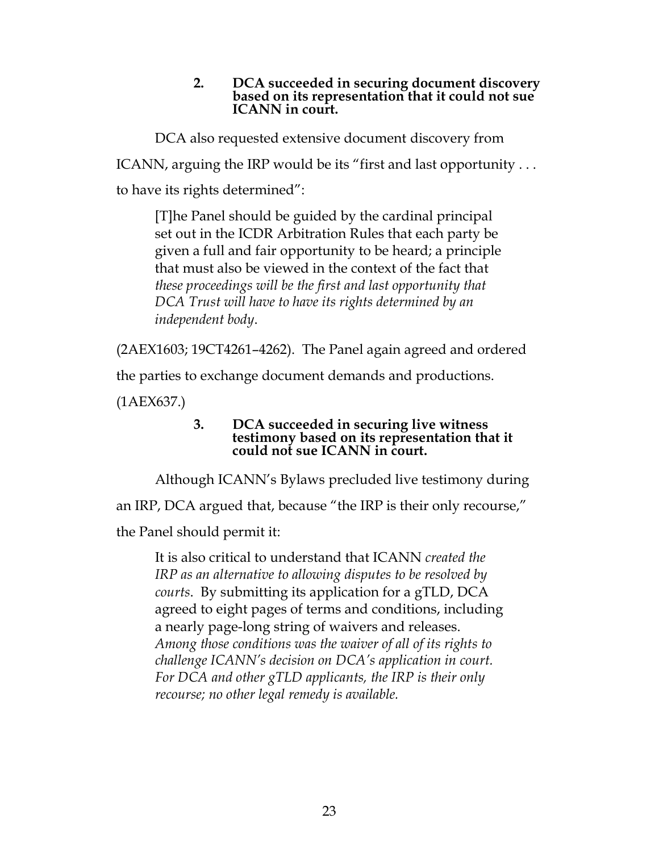#### **2. DCA succeeded in securing document discovery based on its representation that it could not sue ICANN in court.**

DCA also requested extensive document discovery from

ICANN, arguing the IRP would be its "first and last opportunity . . .

to have its rights determined":

[T]he Panel should be guided by the cardinal principal set out in the ICDR Arbitration Rules that each party be given a full and fair opportunity to be heard; a principle that must also be viewed in the context of the fact that *these proceedings will be the first and last opportunity that DCA Trust will have to have its rights determined by an independent body*.

(2AEX1603; 19CT4261–4262). The Panel again agreed and ordered

the parties to exchange document demands and productions.

(1AEX637.)

#### **3. DCA succeeded in securing live witness testimony based on its representation that it could not sue ICANN in court.**

Although ICANN's Bylaws precluded live testimony during an IRP, DCA argued that, because "the IRP is their only recourse," the Panel should permit it:

It is also critical to understand that ICANN *created the IRP as an alternative to allowing disputes to be resolved by courts*. By submitting its application for a gTLD, DCA agreed to eight pages of terms and conditions, including a nearly page-long string of waivers and releases. *Among those conditions was the waiver of all of its rights to challenge ICANN's decision on DCA's application in court. For DCA and other gTLD applicants, the IRP is their only recourse; no other legal remedy is available.*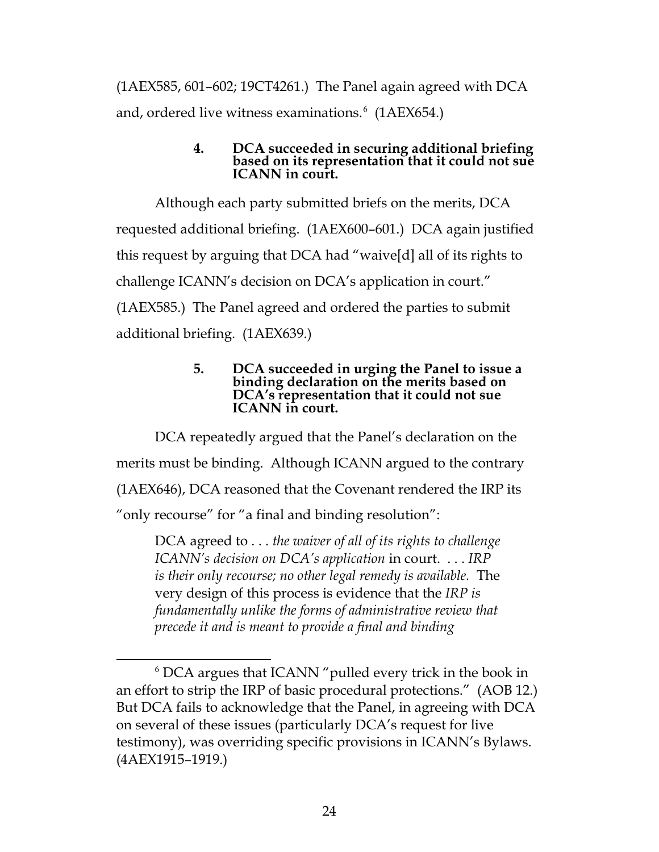(1AEX585, 601–602; 19CT4261.) The Panel again agreed with DCA and, ordered live witness examinations.<sup>[6](#page-23-0)</sup> (1AEX654.)

#### **4. DCA succeeded in securing additional briefing based on its representation that it could not sue ICANN in court.**

Although each party submitted briefs on the merits, DCA requested additional briefing. (1AEX600–601.) DCA again justified this request by arguing that DCA had "waive[d] all of its rights to challenge ICANN's decision on DCA's application in court." (1AEX585.) The Panel agreed and ordered the parties to submit additional briefing. (1AEX639.)

#### **5. DCA succeeded in urging the Panel to issue a binding declaration on the merits based on DCA's representation that it could not sue ICANN in court.**

DCA repeatedly argued that the Panel's declaration on the merits must be binding. Although ICANN argued to the contrary (1AEX646), DCA reasoned that the Covenant rendered the IRP its "only recourse" for "a final and binding resolution":

DCA agreed to . . . *the waiver of all of its rights to challenge ICANN's decision on DCA's application* in court. . . . *IRP is their only recourse; no other legal remedy is available.* The very design of this process is evidence that the *IRP is fundamentally unlike the forms of administrative review that precede it and is meant to provide a final and binding* 

<span id="page-23-0"></span> <sup>6</sup> DCA argues that ICANN "pulled every trick in the book in an effort to strip the IRP of basic procedural protections." (AOB 12.) But DCA fails to acknowledge that the Panel, in agreeing with DCA on several of these issues (particularly DCA's request for live testimony), was overriding specific provisions in ICANN's Bylaws. (4AEX1915–1919.)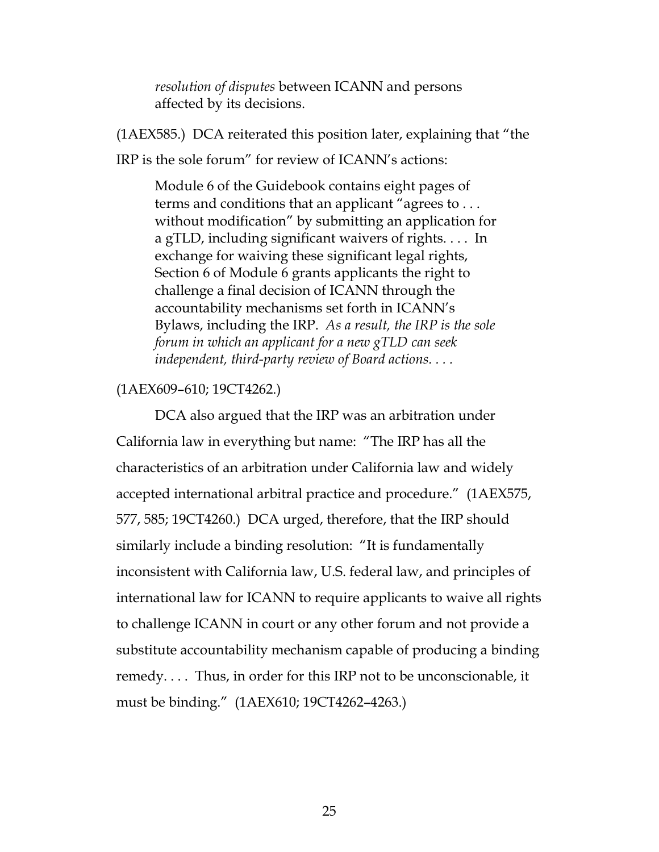*resolution of disputes* between ICANN and persons affected by its decisions.

(1AEX585.) DCA reiterated this position later, explaining that "the IRP is the sole forum" for review of ICANN's actions:

Module 6 of the Guidebook contains eight pages of terms and conditions that an applicant "agrees to . . . without modification" by submitting an application for a gTLD, including significant waivers of rights. . . . In exchange for waiving these significant legal rights, Section 6 of Module 6 grants applicants the right to challenge a final decision of ICANN through the accountability mechanisms set forth in ICANN's Bylaws, including the IRP. *As a result, the IRP is the sole forum in which an applicant for a new gTLD can seek independent, third-party review of Board actions. . . .*

#### (1AEX609–610; 19CT4262.)

DCA also argued that the IRP was an arbitration under California law in everything but name: "The IRP has all the characteristics of an arbitration under California law and widely accepted international arbitral practice and procedure." (1AEX575, 577, 585; 19CT4260.) DCA urged, therefore, that the IRP should similarly include a binding resolution: "It is fundamentally inconsistent with California law, U.S. federal law, and principles of international law for ICANN to require applicants to waive all rights to challenge ICANN in court or any other forum and not provide a substitute accountability mechanism capable of producing a binding remedy. . . . Thus, in order for this IRP not to be unconscionable, it must be binding." (1AEX610; 19CT4262–4263.)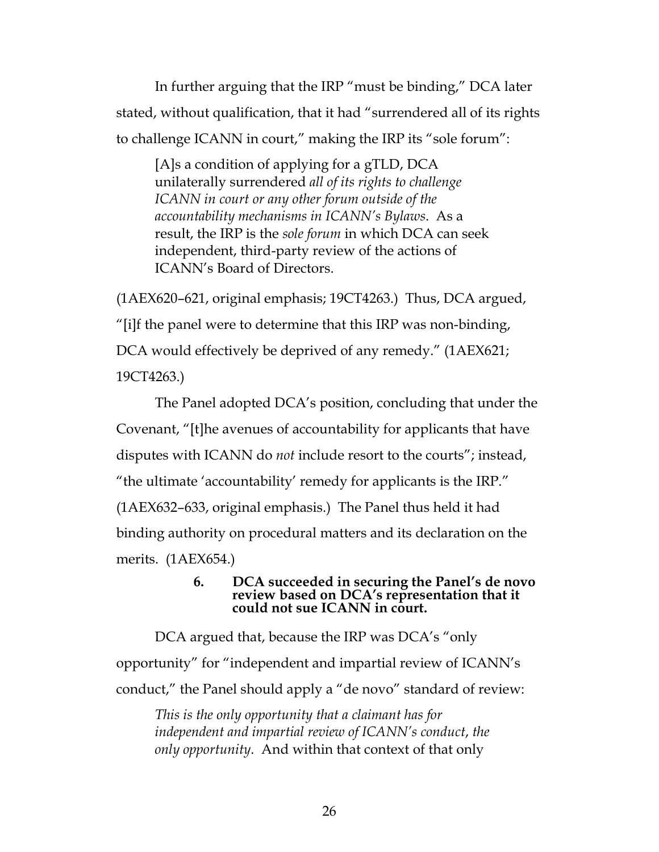In further arguing that the IRP "must be binding," DCA later stated, without qualification, that it had "surrendered all of its rights to challenge ICANN in court," making the IRP its "sole forum":

[A]s a condition of applying for a gTLD, DCA unilaterally surrendered *all of its rights to challenge ICANN in court or any other forum outside of the accountability mechanisms in ICANN's Bylaws*. As a result, the IRP is the *sole forum* in which DCA can seek independent, third-party review of the actions of ICANN's Board of Directors.

(1AEX620–621, original emphasis; 19CT4263.) Thus, DCA argued, "[i]f the panel were to determine that this IRP was non-binding, DCA would effectively be deprived of any remedy." (1AEX621; 19CT4263.)

The Panel adopted DCA's position, concluding that under the Covenant, "[t]he avenues of accountability for applicants that have disputes with ICANN do *not* include resort to the courts"; instead, "the ultimate 'accountability' remedy for applicants is the IRP." (1AEX632–633, original emphasis.) The Panel thus held it had binding authority on procedural matters and its declaration on the merits. (1AEX654.)

> **6. DCA succeeded in securing the Panel's de novo review based on DCA's representation that it could not sue ICANN in court.**

DCA argued that, because the IRP was DCA's "only opportunity" for "independent and impartial review of ICANN's conduct," the Panel should apply a "de novo" standard of review:

*This is the only opportunity that a claimant has for independent and impartial review of ICANN's conduct*, *the only opportunity*. And within that context of that only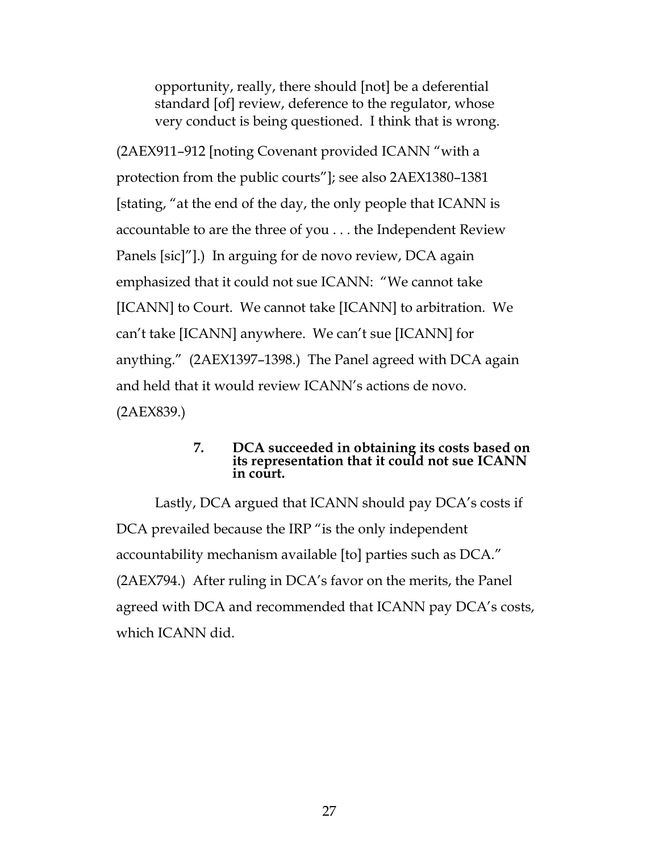opportunity, really, there should [not] be a deferential standard [of] review, deference to the regulator, whose very conduct is being questioned. I think that is wrong.

(2AEX911–912 [noting Covenant provided ICANN "with a protection from the public courts"]; see also 2AEX1380–1381 [stating, "at the end of the day, the only people that ICANN is accountable to are the three of you . . . the Independent Review Panels [sic]"].) In arguing for de novo review, DCA again emphasized that it could not sue ICANN: "We cannot take [ICANN] to Court. We cannot take [ICANN] to arbitration. We can't take [ICANN] anywhere. We can't sue [ICANN] for anything." (2AEX1397–1398.) The Panel agreed with DCA again and held that it would review ICANN's actions de novo. (2AEX839.)

## **7. DCA succeeded in obtaining its costs based on its representation that it could not sue ICANN in court.**

Lastly, DCA argued that ICANN should pay DCA's costs if DCA prevailed because the IRP "is the only independent accountability mechanism available [to] parties such as DCA." (2AEX794.) After ruling in DCA's favor on the merits, the Panel agreed with DCA and recommended that ICANN pay DCA's costs, which ICANN did.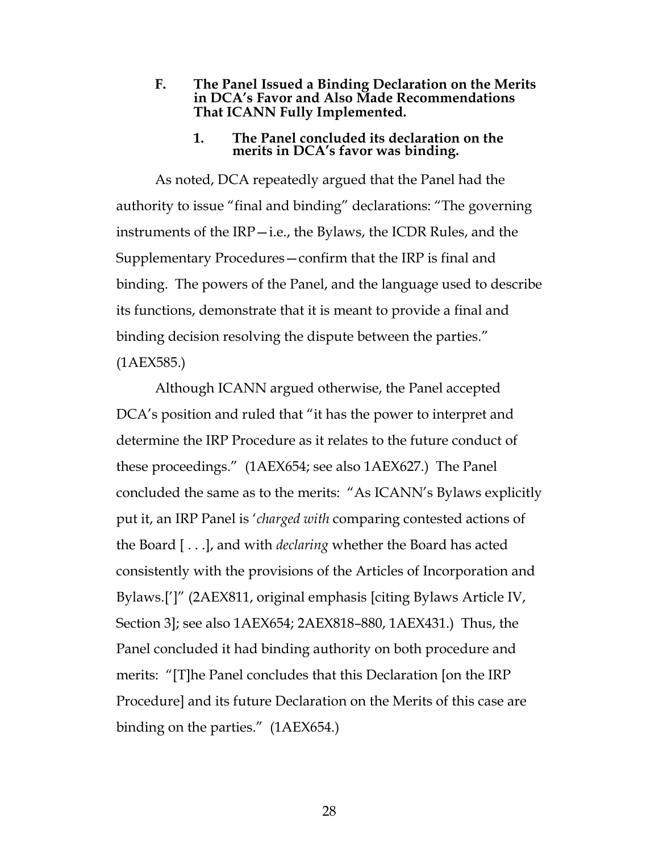**F. The Panel Issued a Binding Declaration on the Merits in DCA's Favor and Also Made Recommendations That ICANN Fully Implemented.** 

#### **1. The Panel concluded its declaration on the merits in DCA's favor was binding.**

As noted, DCA repeatedly argued that the Panel had the authority to issue "final and binding" declarations: "The governing instruments of the IRP—i.e., the Bylaws, the ICDR Rules, and the Supplementary Procedures—confirm that the IRP is final and binding. The powers of the Panel, and the language used to describe its functions, demonstrate that it is meant to provide a final and binding decision resolving the dispute between the parties." (1AEX585.)

Although ICANN argued otherwise, the Panel accepted DCA's position and ruled that "it has the power to interpret and determine the IRP Procedure as it relates to the future conduct of these proceedings." (1AEX654; see also 1AEX627.) The Panel concluded the same as to the merits: "As ICANN's Bylaws explicitly put it, an IRP Panel is '*charged with* comparing contested actions of the Board [ . . .], and with *declaring* whether the Board has acted consistently with the provisions of the Articles of Incorporation and Bylaws.[']" (2AEX811, original emphasis [citing Bylaws Article IV, Section 3]; see also 1AEX654; 2AEX818–880, 1AEX431.) Thus, the Panel concluded it had binding authority on both procedure and merits: "[T]he Panel concludes that this Declaration [on the IRP Procedure] and its future Declaration on the Merits of this case are binding on the parties." (1AEX654.)

28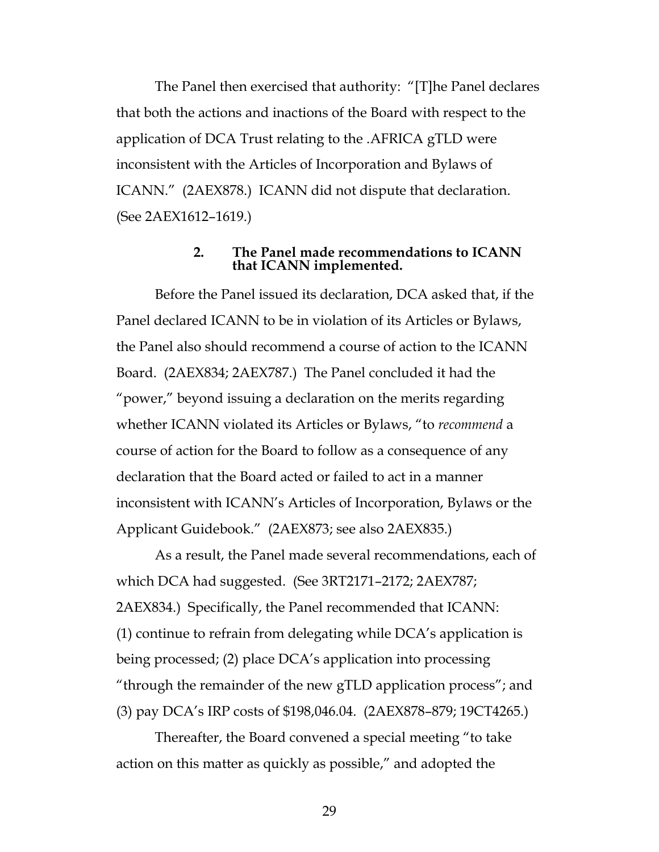The Panel then exercised that authority: "[T]he Panel declares that both the actions and inactions of the Board with respect to the application of DCA Trust relating to the .AFRICA gTLD were inconsistent with the Articles of Incorporation and Bylaws of ICANN." (2AEX878.) ICANN did not dispute that declaration. (See 2AEX1612–1619.)

#### **2. The Panel made recommendations to ICANN that ICANN implemented.**

Before the Panel issued its declaration, DCA asked that, if the Panel declared ICANN to be in violation of its Articles or Bylaws, the Panel also should recommend a course of action to the ICANN Board. (2AEX834; 2AEX787.) The Panel concluded it had the "power," beyond issuing a declaration on the merits regarding whether ICANN violated its Articles or Bylaws, "to *recommend* a course of action for the Board to follow as a consequence of any declaration that the Board acted or failed to act in a manner inconsistent with ICANN's Articles of Incorporation, Bylaws or the Applicant Guidebook." (2AEX873; see also 2AEX835.)

As a result, the Panel made several recommendations, each of which DCA had suggested. (See 3RT2171–2172; 2AEX787; 2AEX834.) Specifically, the Panel recommended that ICANN: (1) continue to refrain from delegating while DCA's application is being processed; (2) place DCA's application into processing "through the remainder of the new gTLD application process"; and (3) pay DCA's IRP costs of \$198,046.04. (2AEX878–879; 19CT4265.)

Thereafter, the Board convened a special meeting "to take action on this matter as quickly as possible," and adopted the

29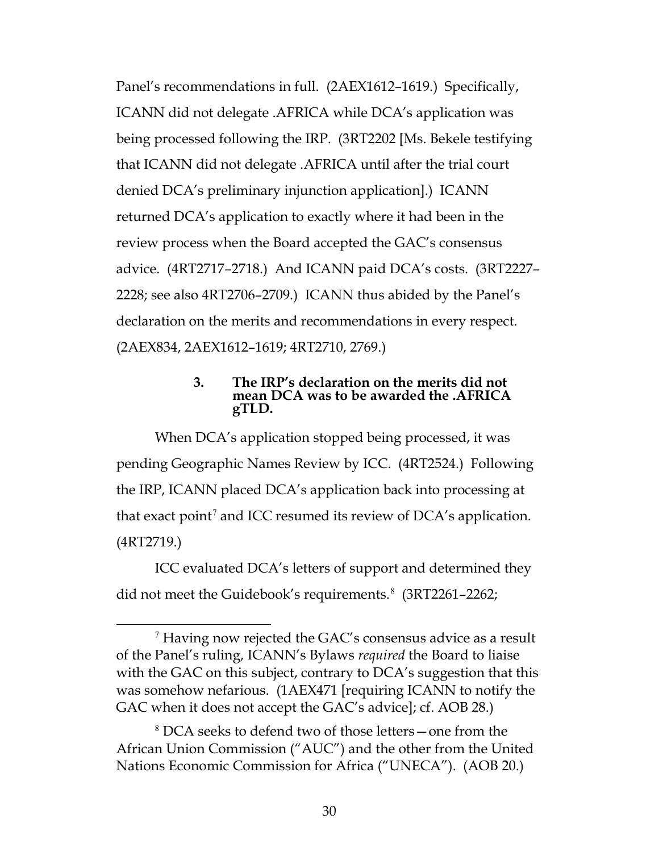Panel's recommendations in full. (2AEX1612–1619.) Specifically, ICANN did not delegate .AFRICA while DCA's application was being processed following the IRP. (3RT2202 [Ms. Bekele testifying that ICANN did not delegate .AFRICA until after the trial court denied DCA's preliminary injunction application].) ICANN returned DCA's application to exactly where it had been in the review process when the Board accepted the GAC's consensus advice. (4RT2717–2718.) And ICANN paid DCA's costs. (3RT2227– 2228; see also 4RT2706–2709.) ICANN thus abided by the Panel's declaration on the merits and recommendations in every respect. (2AEX834, 2AEX1612–1619; 4RT2710, 2769.)

#### **3. The IRP's declaration on the merits did not mean DCA was to be awarded the .AFRICA gTLD.**

When DCA's application stopped being processed, it was pending Geographic Names Review by ICC. (4RT2524.) Following the IRP, ICANN placed DCA's application back into processing at that exact point<sup>[7](#page-29-0)</sup> and ICC resumed its review of DCA's application. (4RT2719.)

ICC evaluated DCA's letters of support and determined they did not meet the Guidebook's requirements.<sup>[8](#page-29-1)</sup> (3RT2261-2262;

<span id="page-29-0"></span> <sup>7</sup> Having now rejected the GAC's consensus advice as a result of the Panel's ruling, ICANN's Bylaws *required* the Board to liaise with the GAC on this subject, contrary to DCA's suggestion that this was somehow nefarious. (1AEX471 [requiring ICANN to notify the GAC when it does not accept the GAC's advice]; cf. AOB 28.)

<span id="page-29-1"></span><sup>8</sup> DCA seeks to defend two of those letters—one from the African Union Commission ("AUC") and the other from the United Nations Economic Commission for Africa ("UNECA"). (AOB 20.)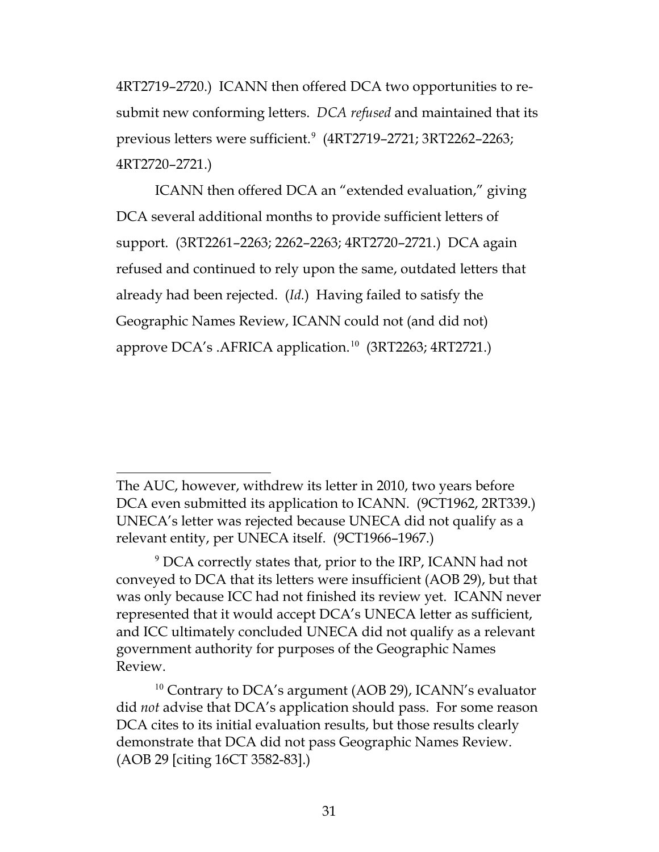4RT2719–2720.) ICANN then offered DCA two opportunities to resubmit new conforming letters. *DCA refused* and maintained that its previous letters were sufficient.[9](#page-30-0) (4RT2719–2721; 3RT2262–2263; 4RT2720–2721.)

ICANN then offered DCA an "extended evaluation," giving DCA several additional months to provide sufficient letters of support. (3RT2261–2263; 2262–2263; 4RT2720–2721.) DCA again refused and continued to rely upon the same, outdated letters that already had been rejected. (*Id.*) Having failed to satisfy the Geographic Names Review, ICANN could not (and did not) approve DCA's .AFRICA application.<sup>[10](#page-30-1)</sup> (3RT2263; 4RT2721.)

 $\overline{a}$ The AUC, however, withdrew its letter in 2010, two years before DCA even submitted its application to ICANN. (9CT1962, 2RT339.) UNECA's letter was rejected because UNECA did not qualify as a relevant entity, per UNECA itself. (9CT1966–1967.)

<span id="page-30-0"></span><sup>9</sup> DCA correctly states that, prior to the IRP, ICANN had not conveyed to DCA that its letters were insufficient (AOB 29), but that was only because ICC had not finished its review yet. ICANN never represented that it would accept DCA's UNECA letter as sufficient, and ICC ultimately concluded UNECA did not qualify as a relevant government authority for purposes of the Geographic Names Review.

<span id="page-30-1"></span><sup>&</sup>lt;sup>10</sup> Contrary to DCA's argument (AOB 29), ICANN's evaluator did *not* advise that DCA's application should pass. For some reason DCA cites to its initial evaluation results, but those results clearly demonstrate that DCA did not pass Geographic Names Review. (AOB 29 [citing 16CT 3582-83].)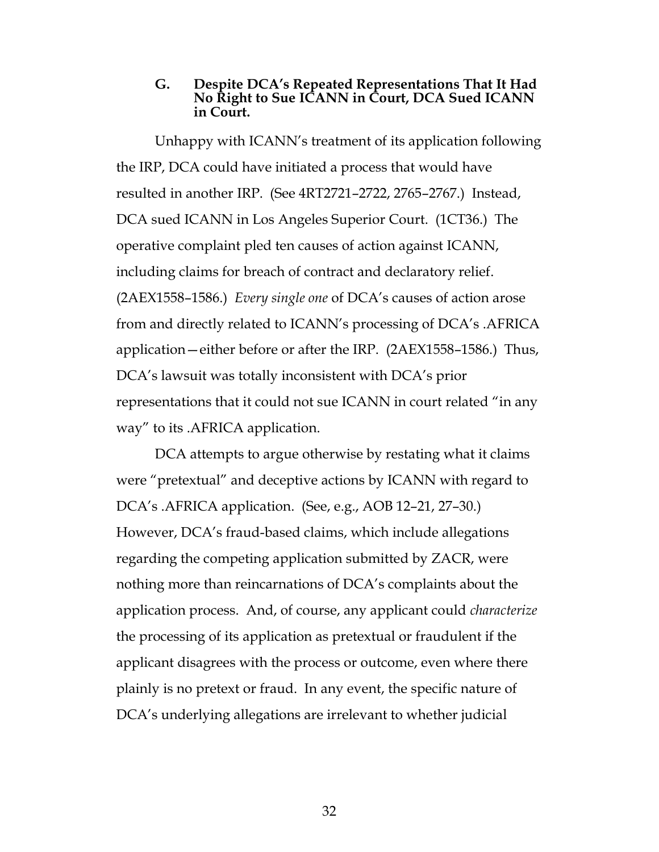#### **G. Despite DCA's Repeated Representations That It Had No Right to Sue ICANN in Court, DCA Sued ICANN in Court.**

Unhappy with ICANN's treatment of its application following the IRP, DCA could have initiated a process that would have resulted in another IRP. (See 4RT2721–2722, 2765–2767.) Instead, DCA sued ICANN in Los Angeles Superior Court. (1CT36.) The operative complaint pled ten causes of action against ICANN, including claims for breach of contract and declaratory relief. (2AEX1558–1586.) *Every single one* of DCA's causes of action arose from and directly related to ICANN's processing of DCA's .AFRICA application—either before or after the IRP. (2AEX1558–1586.) Thus, DCA's lawsuit was totally inconsistent with DCA's prior representations that it could not sue ICANN in court related "in any way" to its .AFRICA application.

DCA attempts to argue otherwise by restating what it claims were "pretextual" and deceptive actions by ICANN with regard to DCA's .AFRICA application. (See, e.g., AOB 12–21, 27–30.) However, DCA's fraud-based claims, which include allegations regarding the competing application submitted by ZACR, were nothing more than reincarnations of DCA's complaints about the application process. And, of course, any applicant could *characterize* the processing of its application as pretextual or fraudulent if the applicant disagrees with the process or outcome, even where there plainly is no pretext or fraud. In any event, the specific nature of DCA's underlying allegations are irrelevant to whether judicial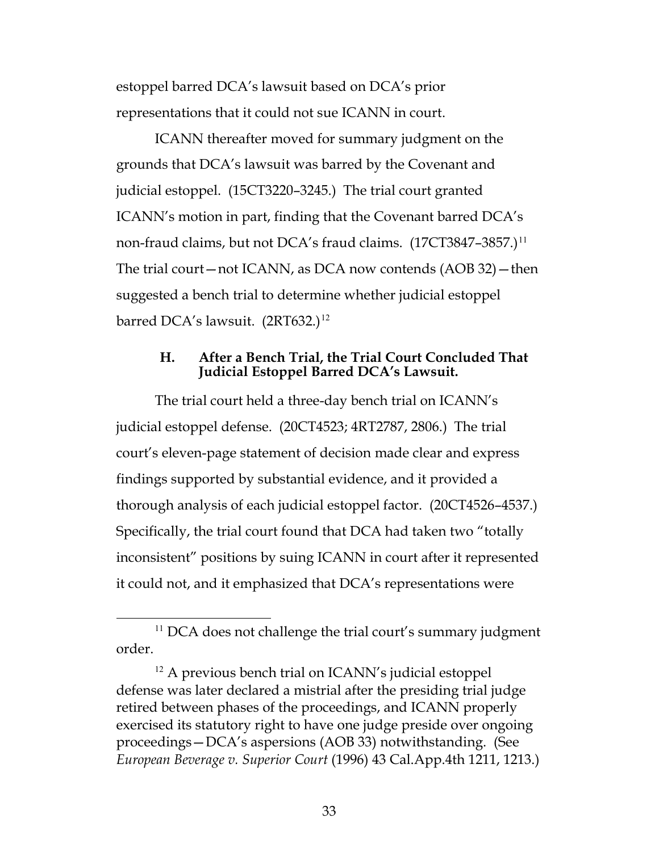estoppel barred DCA's lawsuit based on DCA's prior representations that it could not sue ICANN in court.

ICANN thereafter moved for summary judgment on the grounds that DCA's lawsuit was barred by the Covenant and judicial estoppel. (15CT3220–3245.) The trial court granted ICANN's motion in part, finding that the Covenant barred DCA's non-fraud claims, but not DCA's fraud claims. (17CT3847-3857.)<sup>[11](#page-32-1)</sup> The trial court—not ICANN, as DCA now contends (AOB 32)—then suggested a bench trial to determine whether judicial estoppel barred DCA's lawsuit.  $(2RT632.)^{12}$  $(2RT632.)^{12}$  $(2RT632.)^{12}$ 

#### **H. After a Bench Trial, the Trial Court Concluded That Judicial Estoppel Barred DCA's Lawsuit.**

The trial court held a three-day bench trial on ICANN's judicial estoppel defense. (20CT4523; 4RT2787, 2806.) The trial court's eleven-page statement of decision made clear and express findings supported by substantial evidence, and it provided a thorough analysis of each judicial estoppel factor. (20CT4526–4537.) Specifically, the trial court found that DCA had taken two "totally inconsistent" positions by suing ICANN in court after it represented it could not, and it emphasized that DCA's representations were

<span id="page-32-1"></span><sup>&</sup>lt;sup>11</sup> DCA does not challenge the trial court's summary judgment order.

<span id="page-32-2"></span><span id="page-32-0"></span><sup>&</sup>lt;sup>12</sup> A previous bench trial on ICANN's judicial estoppel defense was later declared a mistrial after the presiding trial judge retired between phases of the proceedings, and ICANN properly exercised its statutory right to have one judge preside over ongoing proceedings—DCA's aspersions (AOB 33) notwithstanding. (See *European Beverage v. Superior Court* (1996) 43 Cal.App.4th 1211, 1213.)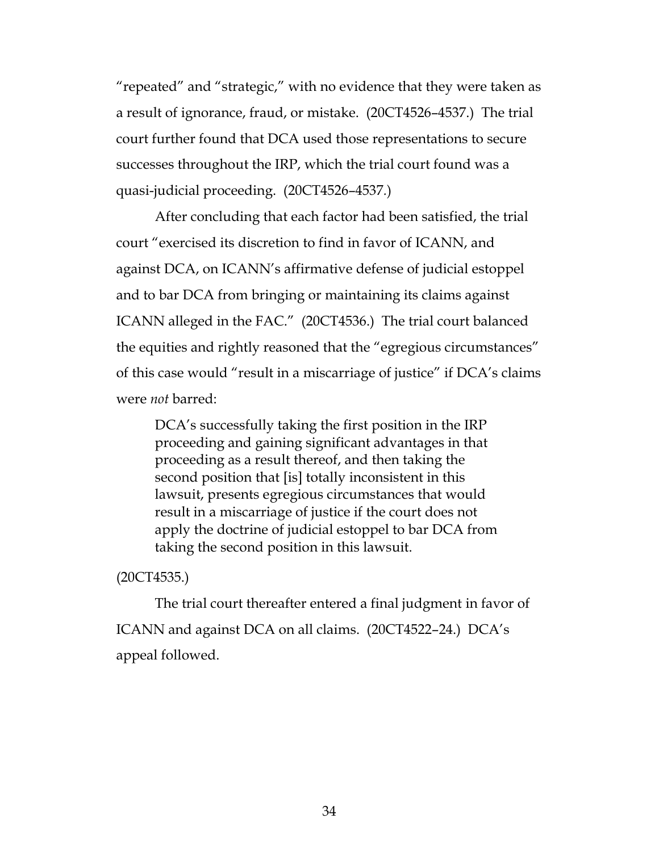"repeated" and "strategic," with no evidence that they were taken as a result of ignorance, fraud, or mistake. (20CT4526–4537.) The trial court further found that DCA used those representations to secure successes throughout the IRP, which the trial court found was a quasi-judicial proceeding. (20CT4526–4537*.*)

After concluding that each factor had been satisfied, the trial court "exercised its discretion to find in favor of ICANN, and against DCA, on ICANN's affirmative defense of judicial estoppel and to bar DCA from bringing or maintaining its claims against ICANN alleged in the FAC." (20CT4536.) The trial court balanced the equities and rightly reasoned that the "egregious circumstances" of this case would "result in a miscarriage of justice" if DCA's claims were *not* barred:

DCA's successfully taking the first position in the IRP proceeding and gaining significant advantages in that proceeding as a result thereof, and then taking the second position that [is] totally inconsistent in this lawsuit, presents egregious circumstances that would result in a miscarriage of justice if the court does not apply the doctrine of judicial estoppel to bar DCA from taking the second position in this lawsuit.

#### (20CT4535.)

The trial court thereafter entered a final judgment in favor of ICANN and against DCA on all claims. (20CT4522–24.) DCA's appeal followed.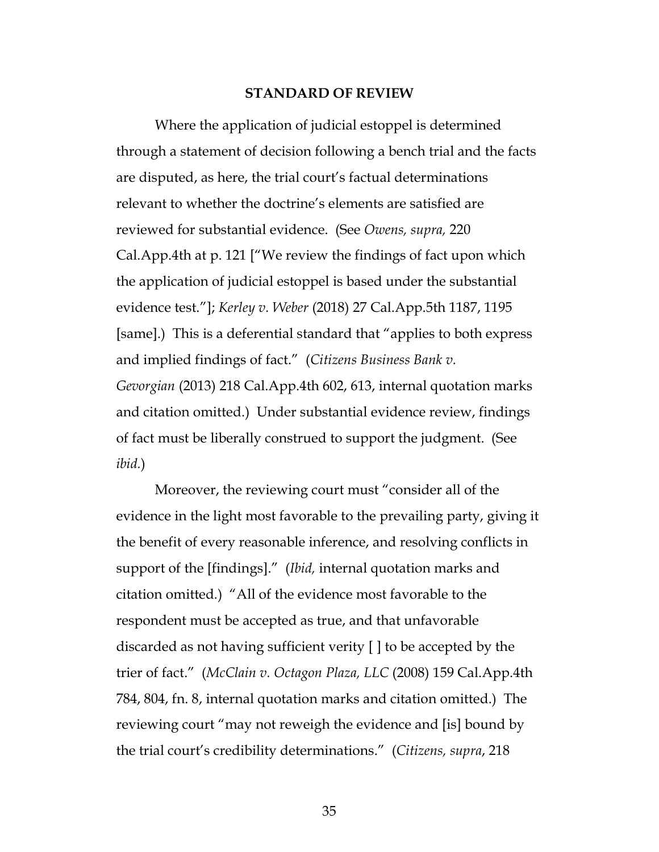#### **STANDARD OF REVIEW**

<span id="page-34-1"></span>Where the application of judicial estoppel is determined through a statement of decision following a bench trial and the facts are disputed, as here, the trial court's factual determinations relevant to whether the doctrine's elements are satisfied are reviewed for substantial evidence. (See *Owens, supra,* 220 Cal.App.4th at p. 121 ["We review the findings of fact upon which the application of judicial estoppel is based under the substantial evidence test."]; *Kerley v. Weber* (2018) 27 Cal.App.5th 1187, 1195 [same].) This is a deferential standard that "applies to both express and implied findings of fact." (*Citizens Business Bank v. Gevorgian* (2013) 218 Cal.App.4th 602, 613, internal quotation marks and citation omitted.) Under substantial evidence review, findings of fact must be liberally construed to support the judgment. (See *ibid.*)

<span id="page-34-0"></span>Moreover, the reviewing court must "consider all of the evidence in the light most favorable to the prevailing party, giving it the benefit of every reasonable inference, and resolving conflicts in support of the [findings]." (*Ibid,* internal quotation marks and citation omitted*.*) "All of the evidence most favorable to the respondent must be accepted as true, and that unfavorable discarded as not having sufficient verity [ ] to be accepted by the trier of fact." (*McClain v. Octagon Plaza, LLC* (2008) 159 Cal.App.4th 784, 804, fn. 8, internal quotation marks and citation omitted.) The reviewing court "may not reweigh the evidence and [is] bound by the trial court's credibility determinations." (*Citizens, supra*, 218

<span id="page-34-2"></span>35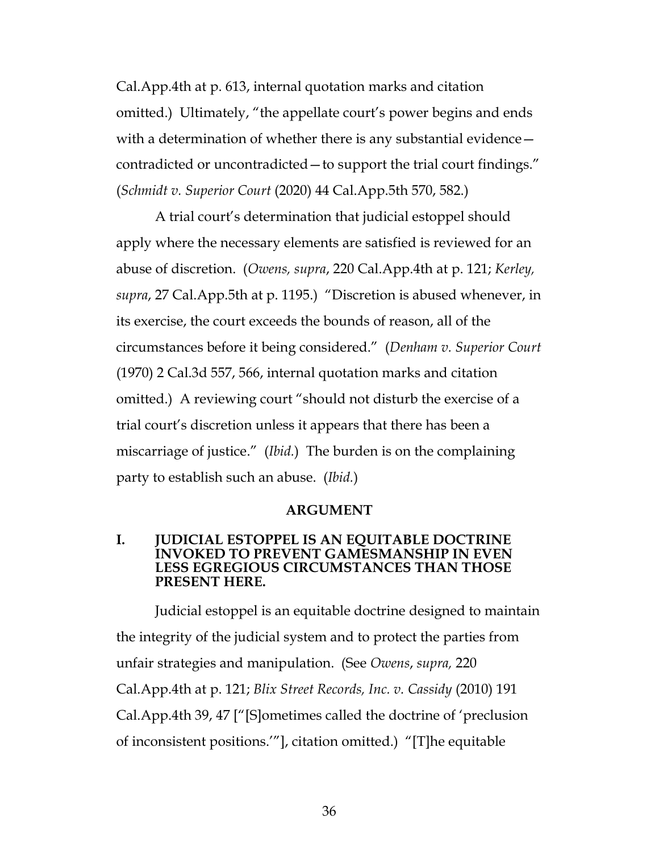Cal.App.4th at p. 613, internal quotation marks and citation omitted.) Ultimately, "the appellate court's power begins and ends with a determination of whether there is any substantial evidence – contradicted or uncontradicted—to support the trial court findings." (*Schmidt v. Superior Court* (2020) 44 Cal.App.5th 570, 582.)

<span id="page-35-3"></span>A trial court's determination that judicial estoppel should apply where the necessary elements are satisfied is reviewed for an abuse of discretion. (*Owens, supra*, 220 Cal.App.4th at p. 121; *Kerley, supra*, 27 Cal.App.5th at p. 1195.) "Discretion is abused whenever, in its exercise, the court exceeds the bounds of reason, all of the circumstances before it being considered." (*Denham v. Superior Court* (1970) 2 Cal.3d 557, 566, internal quotation marks and citation omitted.) A reviewing court "should not disturb the exercise of a trial court's discretion unless it appears that there has been a miscarriage of justice." (*Ibid.*) The burden is on the complaining party to establish such an abuse. (*Ibid.*)

#### <span id="page-35-2"></span><span id="page-35-1"></span>**ARGUMENT**

#### **I. JUDICIAL ESTOPPEL IS AN EQUITABLE DOCTRINE INVOKED TO PREVENT GAMESMANSHIP IN EVEN LESS EGREGIOUS CIRCUMSTANCES THAN THOSE PRESENT HERE.**

<span id="page-35-0"></span>Judicial estoppel is an equitable doctrine designed to maintain the integrity of the judicial system and to protect the parties from unfair strategies and manipulation. (See *Owens*, *supra,* 220 Cal.App.4th at p. 121; *Blix Street Records, Inc. v. Cassidy* (2010) 191 Cal.App.4th 39, 47 ["[S]ometimes called the doctrine of 'preclusion of inconsistent positions.'"], citation omitted.) "[T]he equitable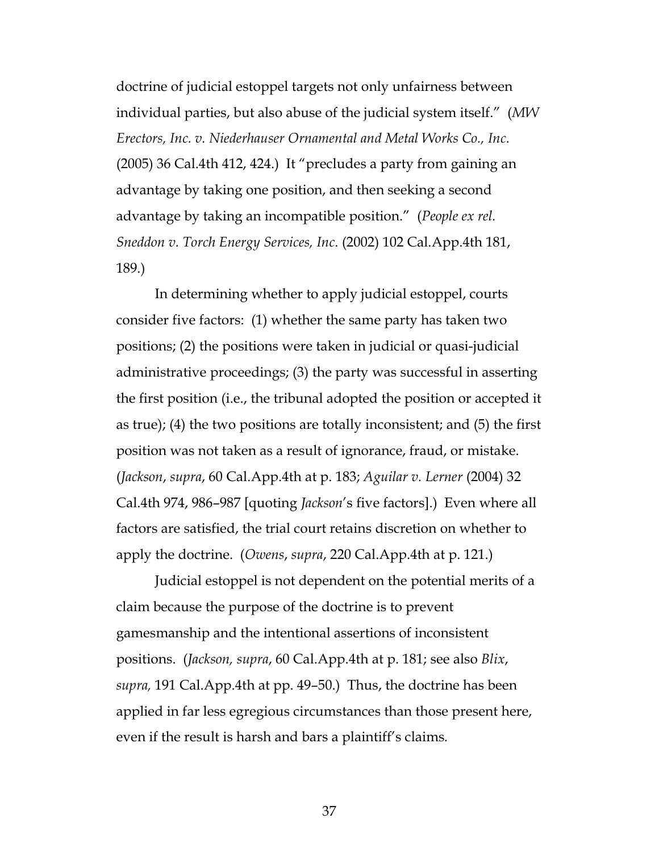<span id="page-36-1"></span>doctrine of judicial estoppel targets not only unfairness between individual parties, but also abuse of the judicial system itself." (*MW Erectors, Inc. v. Niederhauser Ornamental and Metal Works Co., Inc.* (2005) 36 Cal.4th 412, 424.) It "precludes a party from gaining an advantage by taking one position, and then seeking a second advantage by taking an incompatible position." (*People ex rel. Sneddon v. Torch Energy Services, Inc*. (2002) 102 Cal.App.4th 181, 189.)

<span id="page-36-2"></span>In determining whether to apply judicial estoppel, courts consider five factors: (1) whether the same party has taken two positions; (2) the positions were taken in judicial or quasi-judicial administrative proceedings; (3) the party was successful in asserting the first position (i.e., the tribunal adopted the position or accepted it as true); (4) the two positions are totally inconsistent; and (5) the first position was not taken as a result of ignorance, fraud, or mistake. (*Jackson*, *supra*, 60 Cal.App.4th at p. 183; *Aguilar v. Lerner* (2004) 32 Cal.4th 974, 986–987 [quoting *Jackson*'s five factors].) Even where all factors are satisfied, the trial court retains discretion on whether to apply the doctrine. (*Owens*, *supra*, 220 Cal.App.4th at p. 121.)

<span id="page-36-0"></span>Judicial estoppel is not dependent on the potential merits of a claim because the purpose of the doctrine is to prevent gamesmanship and the intentional assertions of inconsistent positions. (*Jackson, supra*, 60 Cal.App.4th at p. 181; see also *Blix*, *supra,* 191 Cal.App.4th at pp. 49–50.) Thus, the doctrine has been applied in far less egregious circumstances than those present here, even if the result is harsh and bars a plaintiff's claims*.*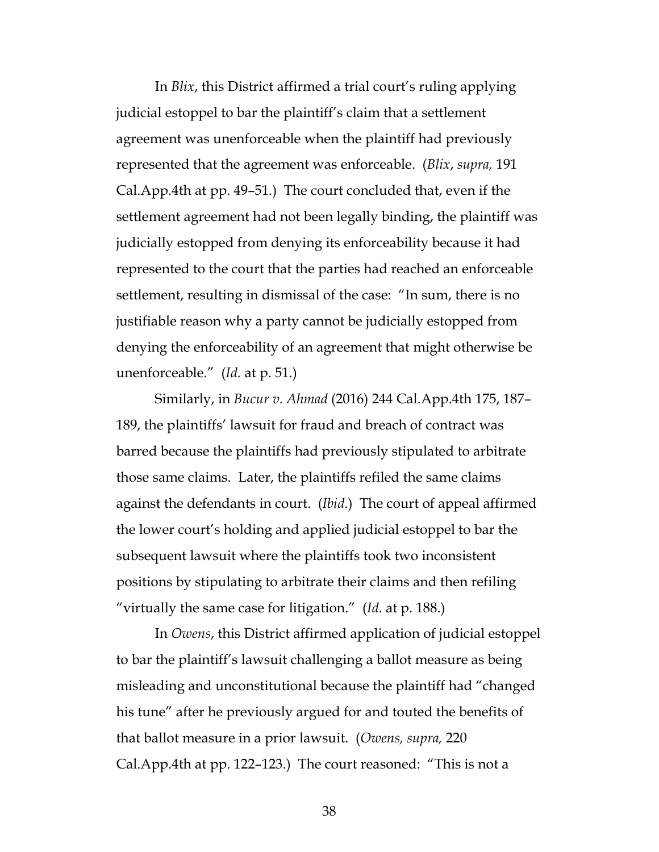In *Blix*, this District affirmed a trial court's ruling applying judicial estoppel to bar the plaintiff's claim that a settlement agreement was unenforceable when the plaintiff had previously represented that the agreement was enforceable. (*Blix*, *supra,* 191 Cal.App.4th at pp. 49–51.) The court concluded that, even if the settlement agreement had not been legally binding, the plaintiff was judicially estopped from denying its enforceability because it had represented to the court that the parties had reached an enforceable settlement, resulting in dismissal of the case: "In sum, there is no justifiable reason why a party cannot be judicially estopped from denying the enforceability of an agreement that might otherwise be unenforceable." (*Id.* at p. 51.)

<span id="page-37-0"></span>Similarly, in *Bucur v. Ahmad* (2016) 244 Cal.App.4th 175, 187– 189, the plaintiffs' lawsuit for fraud and breach of contract was barred because the plaintiffs had previously stipulated to arbitrate those same claims. Later, the plaintiffs refiled the same claims against the defendants in court. (*Ibid*.) The court of appeal affirmed the lower court's holding and applied judicial estoppel to bar the subsequent lawsuit where the plaintiffs took two inconsistent positions by stipulating to arbitrate their claims and then refiling "virtually the same case for litigation." (*Id.* at p. 188.)

In *Owens*, this District affirmed application of judicial estoppel to bar the plaintiff's lawsuit challenging a ballot measure as being misleading and unconstitutional because the plaintiff had "changed his tune" after he previously argued for and touted the benefits of that ballot measure in a prior lawsuit. (*Owens, supra,* 220 Cal.App.4th at pp. 122–123.) The court reasoned: "This is not a

38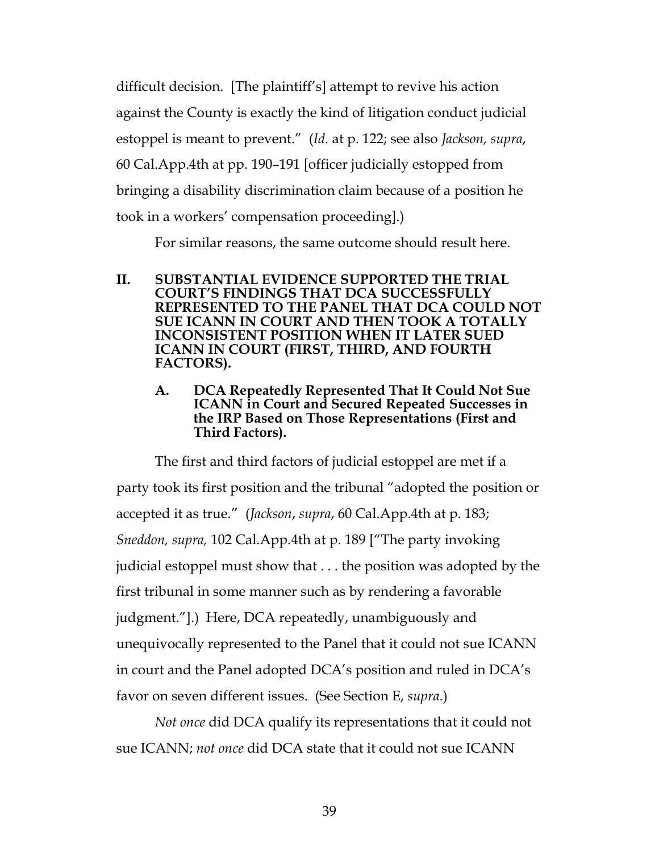difficult decision. [The plaintiff's] attempt to revive his action against the County is exactly the kind of litigation conduct judicial estoppel is meant to prevent." (*Id*. at p. 122; see also *Jackson, supra*, 60 Cal.App.4th at pp. 190–191 [officer judicially estopped from bringing a disability discrimination claim because of a position he took in a workers' compensation proceeding].)

For similar reasons, the same outcome should result here.

- **II. SUBSTANTIAL EVIDENCE SUPPORTED THE TRIAL COURT'S FINDINGS THAT DCA SUCCESSFULLY REPRESENTED TO THE PANEL THAT DCA COULD NOT SUE ICANN IN COURT AND THEN TOOK A TOTALLY INCONSISTENT POSITION WHEN IT LATER SUED ICANN IN COURT (FIRST, THIRD, AND FOURTH FACTORS).** 
	- **A. DCA Repeatedly Represented That It Could Not Sue ICANN in Court and Secured Repeated Successes in the IRP Based on Those Representations (First and Third Factors).**

<span id="page-38-0"></span>The first and third factors of judicial estoppel are met if a party took its first position and the tribunal "adopted the position or accepted it as true." (*Jackson*, *supra*, 60 Cal.App.4th at p. 183; *Sneddon, supra,* 102 Cal.App.4th at p. 189 ["The party invoking judicial estoppel must show that . . . the position was adopted by the first tribunal in some manner such as by rendering a favorable judgment."].) Here, DCA repeatedly, unambiguously and unequivocally represented to the Panel that it could not sue ICANN in court and the Panel adopted DCA's position and ruled in DCA's favor on seven different issues. (See Section E, *supra*.)

*Not once* did DCA qualify its representations that it could not sue ICANN; *not once* did DCA state that it could not sue ICANN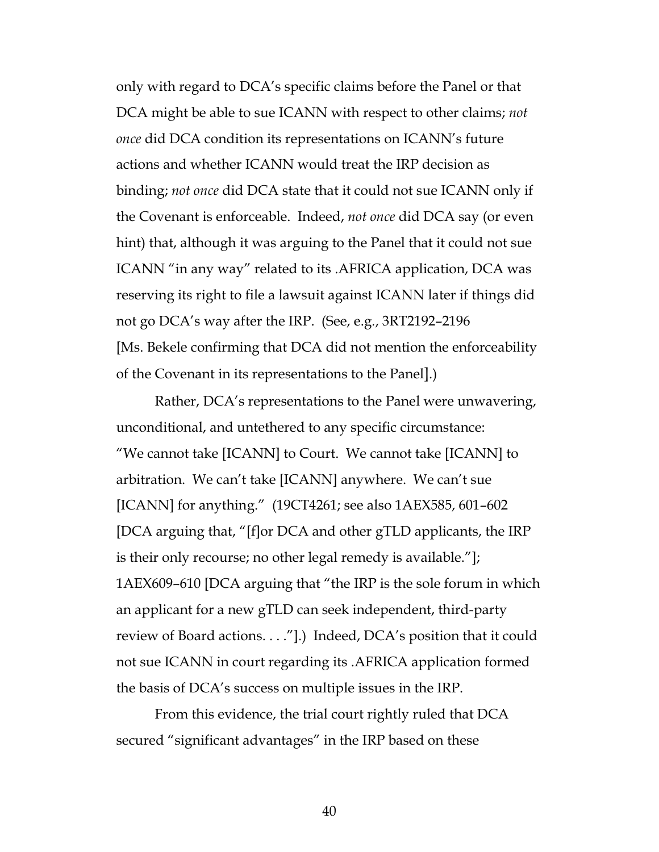only with regard to DCA's specific claims before the Panel or that DCA might be able to sue ICANN with respect to other claims; *not once* did DCA condition its representations on ICANN's future actions and whether ICANN would treat the IRP decision as binding; *not once* did DCA state that it could not sue ICANN only if the Covenant is enforceable. Indeed, *not once* did DCA say (or even hint) that, although it was arguing to the Panel that it could not sue ICANN "in any way" related to its .AFRICA application, DCA was reserving its right to file a lawsuit against ICANN later if things did not go DCA's way after the IRP. (See, e.g*.*, 3RT2192–2196 [Ms. Bekele confirming that DCA did not mention the enforceability of the Covenant in its representations to the Panel].)

Rather, DCA's representations to the Panel were unwavering, unconditional, and untethered to any specific circumstance: "We cannot take [ICANN] to Court. We cannot take [ICANN] to arbitration. We can't take [ICANN] anywhere. We can't sue [ICANN] for anything." (19CT4261; see also 1AEX585, 601–602 [DCA arguing that, "[f]or DCA and other gTLD applicants, the IRP is their only recourse; no other legal remedy is available."]; 1AEX609–610 [DCA arguing that "the IRP is the sole forum in which an applicant for a new gTLD can seek independent, third-party review of Board actions. . . ."].) Indeed, DCA's position that it could not sue ICANN in court regarding its .AFRICA application formed the basis of DCA's success on multiple issues in the IRP.

From this evidence, the trial court rightly ruled that DCA secured "significant advantages" in the IRP based on these

40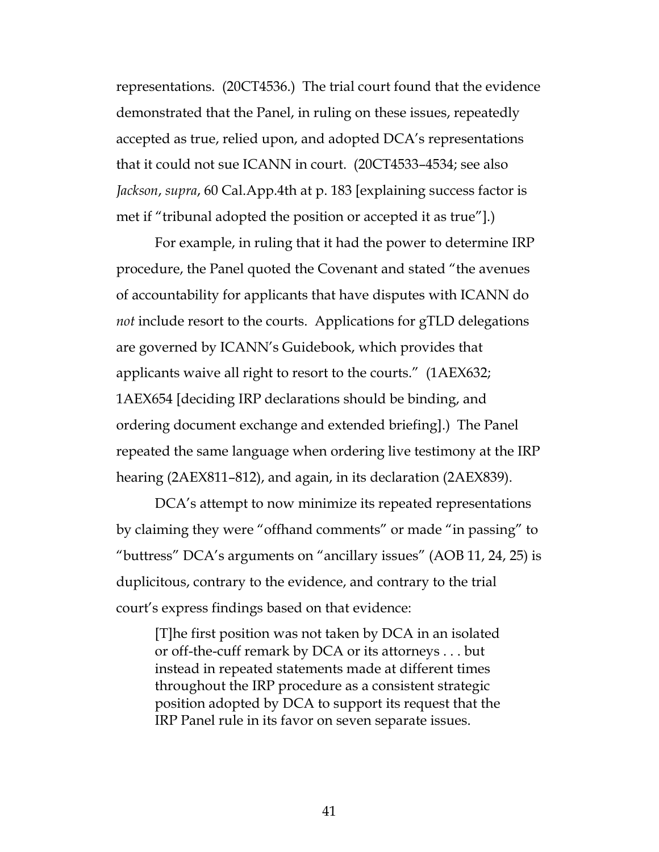representations. (20CT4536.) The trial court found that the evidence demonstrated that the Panel, in ruling on these issues, repeatedly accepted as true, relied upon, and adopted DCA's representations that it could not sue ICANN in court. (20CT4533–4534; see also *Jackson*, *supra*, 60 Cal.App.4th at p. 183 [explaining success factor is met if "tribunal adopted the position or accepted it as true"].)

For example, in ruling that it had the power to determine IRP procedure, the Panel quoted the Covenant and stated "the avenues of accountability for applicants that have disputes with ICANN do *not* include resort to the courts. Applications for gTLD delegations are governed by ICANN's Guidebook, which provides that applicants waive all right to resort to the courts." (1AEX632; 1AEX654 [deciding IRP declarations should be binding, and ordering document exchange and extended briefing].) The Panel repeated the same language when ordering live testimony at the IRP hearing (2AEX811–812), and again, in its declaration (2AEX839).

DCA's attempt to now minimize its repeated representations by claiming they were "offhand comments" or made "in passing" to "buttress" DCA's arguments on "ancillary issues" (AOB 11, 24, 25) is duplicitous, contrary to the evidence, and contrary to the trial court's express findings based on that evidence:

[T]he first position was not taken by DCA in an isolated or off-the-cuff remark by DCA or its attorneys . . . but instead in repeated statements made at different times throughout the IRP procedure as a consistent strategic position adopted by DCA to support its request that the IRP Panel rule in its favor on seven separate issues.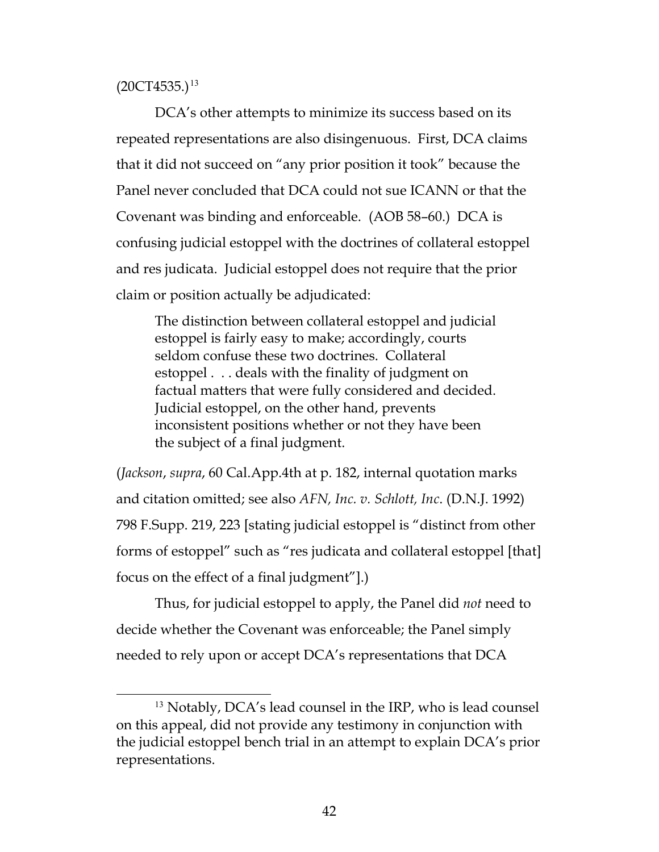$(20CT4535.)^{13}$  $(20CT4535.)^{13}$  $(20CT4535.)^{13}$ 

DCA's other attempts to minimize its success based on its repeated representations are also disingenuous. First, DCA claims that it did not succeed on "any prior position it took" because the Panel never concluded that DCA could not sue ICANN or that the Covenant was binding and enforceable. (AOB 58–60.) DCA is confusing judicial estoppel with the doctrines of collateral estoppel and res judicata. Judicial estoppel does not require that the prior claim or position actually be adjudicated:

The distinction between collateral estoppel and judicial estoppel is fairly easy to make; accordingly, courts seldom confuse these two doctrines. Collateral estoppel . . . deals with the finality of judgment on factual matters that were fully considered and decided. Judicial estoppel, on the other hand, prevents inconsistent positions whether or not they have been the subject of a final judgment.

<span id="page-41-0"></span>(*Jackson*, *supra*, 60 Cal.App.4th at p. 182, internal quotation marks and citation omitted; see also *AFN, Inc. v. Schlott, Inc*. (D.N.J. 1992) 798 F.Supp. 219, 223 [stating judicial estoppel is "distinct from other forms of estoppel" such as "res judicata and collateral estoppel [that] focus on the effect of a final judgment"].)

Thus, for judicial estoppel to apply, the Panel did *not* need to decide whether the Covenant was enforceable; the Panel simply needed to rely upon or accept DCA's representations that DCA

<span id="page-41-1"></span><sup>&</sup>lt;sup>13</sup> Notably, DCA's lead counsel in the IRP, who is lead counsel on this appeal, did not provide any testimony in conjunction with the judicial estoppel bench trial in an attempt to explain DCA's prior representations.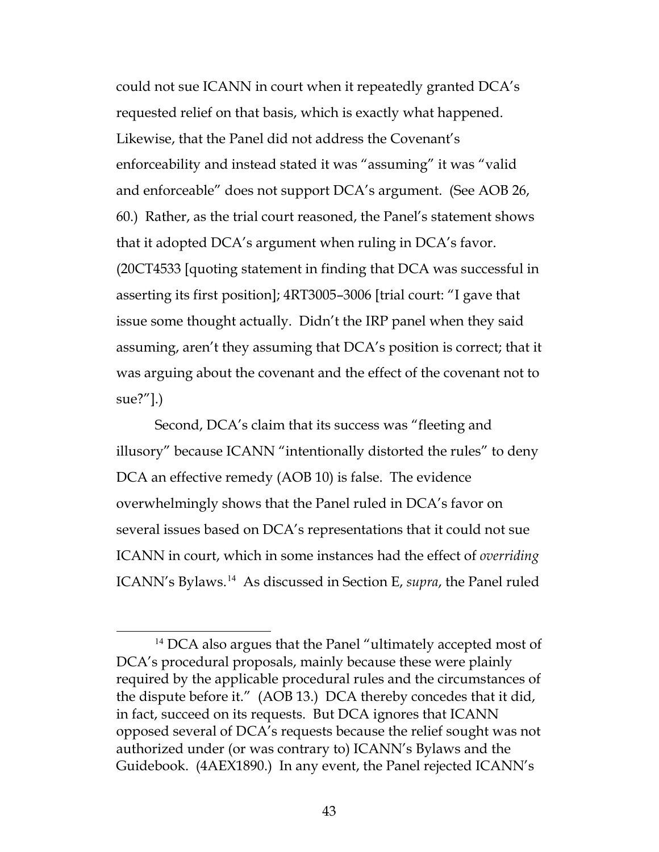could not sue ICANN in court when it repeatedly granted DCA's requested relief on that basis, which is exactly what happened. Likewise, that the Panel did not address the Covenant's enforceability and instead stated it was "assuming" it was "valid and enforceable" does not support DCA's argument. (See AOB 26, 60.) Rather, as the trial court reasoned, the Panel's statement shows that it adopted DCA's argument when ruling in DCA's favor. (20CT4533 [quoting statement in finding that DCA was successful in asserting its first position]; 4RT3005–3006 [trial court: "I gave that issue some thought actually. Didn't the IRP panel when they said assuming, aren't they assuming that DCA's position is correct; that it was arguing about the covenant and the effect of the covenant not to sue?"].)

Second, DCA's claim that its success was "fleeting and illusory" because ICANN "intentionally distorted the rules" to deny DCA an effective remedy (AOB 10) is false. The evidence overwhelmingly shows that the Panel ruled in DCA's favor on several issues based on DCA's representations that it could not sue ICANN in court, which in some instances had the effect of *overriding* ICANN's Bylaws.[14](#page-42-0) As discussed in Section E, *supra*, the Panel ruled

<span id="page-42-0"></span><sup>&</sup>lt;sup>14</sup> DCA also argues that the Panel "ultimately accepted most of DCA's procedural proposals, mainly because these were plainly required by the applicable procedural rules and the circumstances of the dispute before it." (AOB 13.) DCA thereby concedes that it did, in fact, succeed on its requests. But DCA ignores that ICANN opposed several of DCA's requests because the relief sought was not authorized under (or was contrary to) ICANN's Bylaws and the Guidebook. (4AEX1890.) In any event, the Panel rejected ICANN's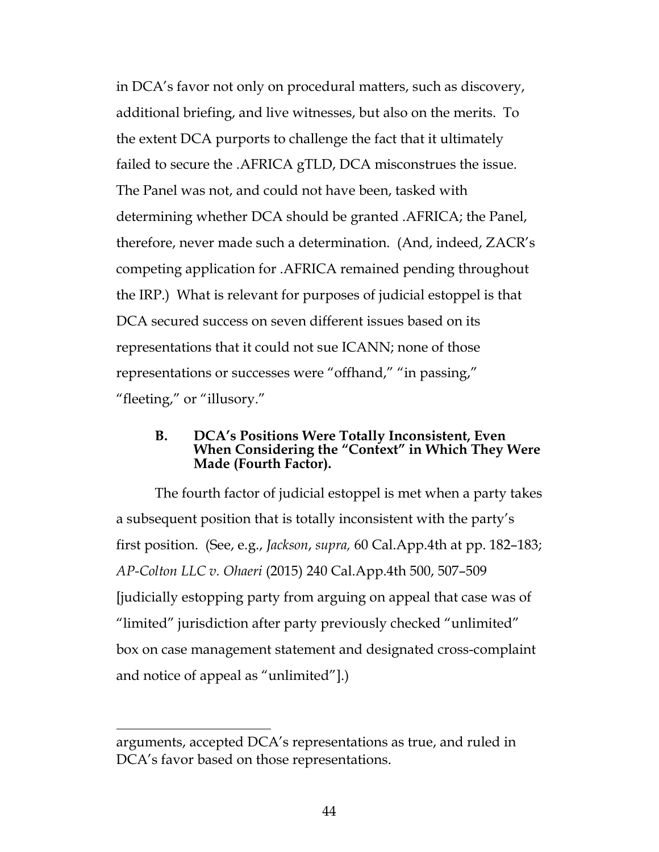in DCA's favor not only on procedural matters, such as discovery, additional briefing, and live witnesses, but also on the merits. To the extent DCA purports to challenge the fact that it ultimately failed to secure the .AFRICA gTLD, DCA misconstrues the issue. The Panel was not, and could not have been, tasked with determining whether DCA should be granted .AFRICA; the Panel, therefore, never made such a determination. (And, indeed, ZACR's competing application for .AFRICA remained pending throughout the IRP.) What is relevant for purposes of judicial estoppel is that DCA secured success on seven different issues based on its representations that it could not sue ICANN; none of those representations or successes were "offhand," "in passing," "fleeting," or "illusory."

#### **B. DCA's Positions Were Totally Inconsistent, Even When Considering the "Context" in Which They Were Made (Fourth Factor).**

<span id="page-43-0"></span>The fourth factor of judicial estoppel is met when a party takes a subsequent position that is totally inconsistent with the party's first position. (See, e.g., *Jackson*, *supra,* 60 Cal.App.4th at pp. 182–183; *AP-Colton LLC v. Ohaeri* (2015) 240 Cal.App.4th 500, 507–509 [judicially estopping party from arguing on appeal that case was of "limited" jurisdiction after party previously checked "unlimited" box on case management statement and designated cross-complaint and notice of appeal as "unlimited"].)

 $\overline{a}$ 

arguments, accepted DCA's representations as true, and ruled in DCA's favor based on those representations.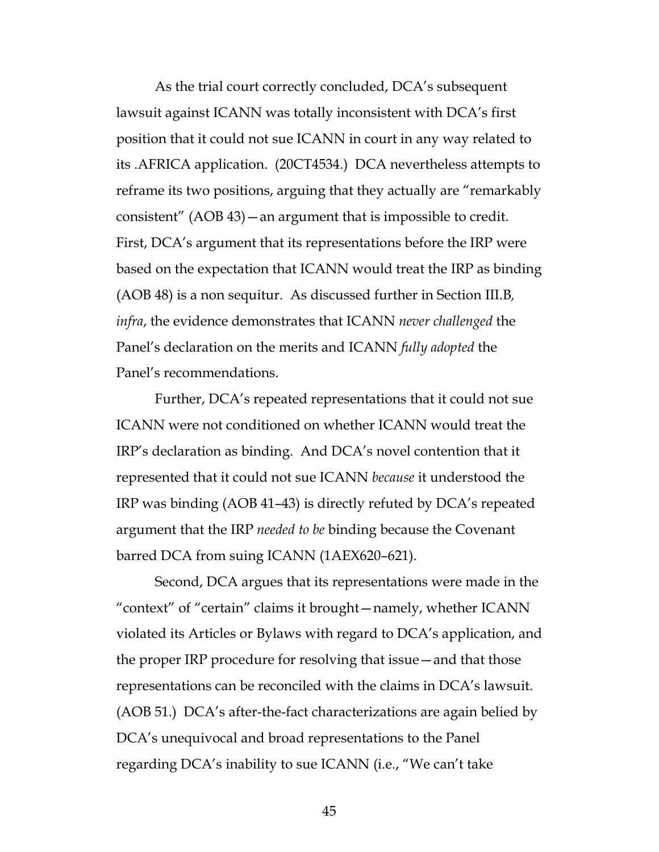As the trial court correctly concluded, DCA's subsequent lawsuit against ICANN was totally inconsistent with DCA's first position that it could not sue ICANN in court in any way related to its .AFRICA application. (20CT4534.) DCA nevertheless attempts to reframe its two positions, arguing that they actually are "remarkably consistent" (AOB 43)—an argument that is impossible to credit. First, DCA's argument that its representations before the IRP were based on the expectation that ICANN would treat the IRP as binding (AOB 48) is a non sequitur. As discussed further in Section III.B*, infra*, the evidence demonstrates that ICANN *never challenged* the Panel's declaration on the merits and ICANN *fully adopted* the Panel's recommendations.

Further, DCA's repeated representations that it could not sue ICANN were not conditioned on whether ICANN would treat the IRP's declaration as binding. And DCA's novel contention that it represented that it could not sue ICANN *because* it understood the IRP was binding (AOB 41–43) is directly refuted by DCA's repeated argument that the IRP *needed to be* binding because the Covenant barred DCA from suing ICANN (1AEX620–621).

Second, DCA argues that its representations were made in the "context" of "certain" claims it brought—namely, whether ICANN violated its Articles or Bylaws with regard to DCA's application, and the proper IRP procedure for resolving that issue—and that those representations can be reconciled with the claims in DCA's lawsuit. (AOB 51.) DCA's after-the-fact characterizations are again belied by DCA's unequivocal and broad representations to the Panel regarding DCA's inability to sue ICANN (i.e., "We can't take

45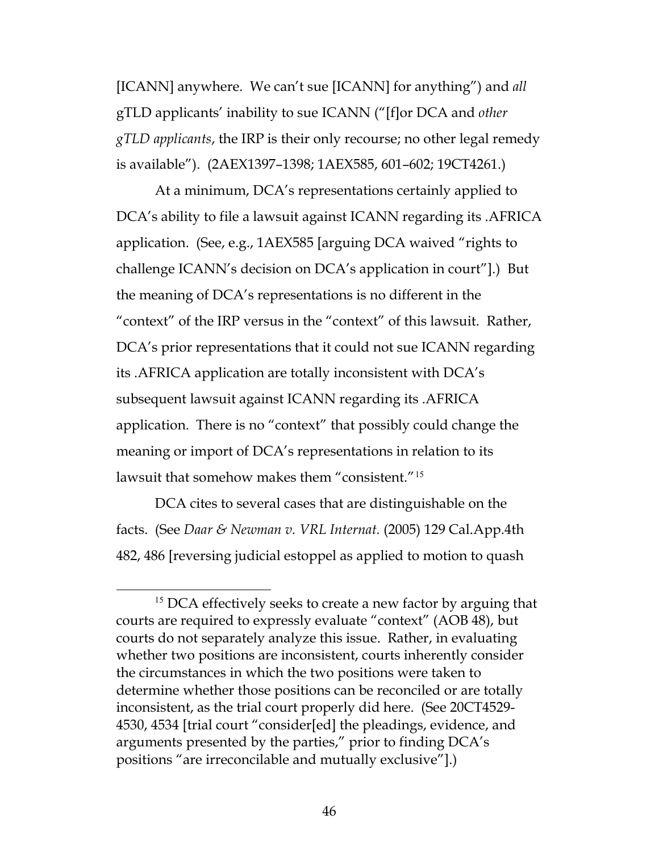[ICANN] anywhere. We can't sue [ICANN] for anything") and *all* gTLD applicants' inability to sue ICANN ("[f]or DCA and *other gTLD applicants*, the IRP is their only recourse; no other legal remedy is available"). (2AEX1397–1398; 1AEX585, 601–602; 19CT4261.)

At a minimum, DCA's representations certainly applied to DCA's ability to file a lawsuit against ICANN regarding its .AFRICA application. (See, e.g., 1AEX585 [arguing DCA waived "rights to challenge ICANN's decision on DCA's application in court"].) But the meaning of DCA's representations is no different in the "context" of the IRP versus in the "context" of this lawsuit. Rather, DCA's prior representations that it could not sue ICANN regarding its .AFRICA application are totally inconsistent with DCA's subsequent lawsuit against ICANN regarding its .AFRICA application. There is no "context" that possibly could change the meaning or import of DCA's representations in relation to its lawsuit that somehow makes them "consistent."[15](#page-45-1)

<span id="page-45-0"></span>DCA cites to several cases that are distinguishable on the facts. (See *Daar & Newman v. VRL Internat.* (2005) 129 Cal.App.4th 482, 486 [reversing judicial estoppel as applied to motion to quash

<span id="page-45-1"></span><sup>&</sup>lt;sup>15</sup> DCA effectively seeks to create a new factor by arguing that courts are required to expressly evaluate "context" (AOB 48), but courts do not separately analyze this issue. Rather, in evaluating whether two positions are inconsistent, courts inherently consider the circumstances in which the two positions were taken to determine whether those positions can be reconciled or are totally inconsistent, as the trial court properly did here. (See 20CT4529- 4530, 4534 [trial court "consider[ed] the pleadings, evidence, and arguments presented by the parties," prior to finding DCA's positions "are irreconcilable and mutually exclusive"].)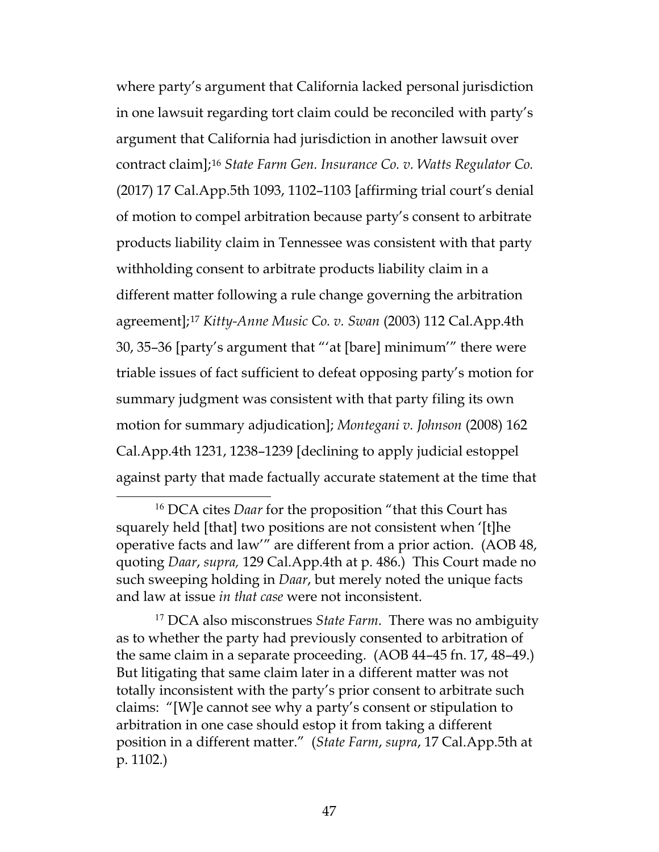<span id="page-46-3"></span>where party's argument that California lacked personal jurisdiction in one lawsuit regarding tort claim could be reconciled with party's argument that California had jurisdiction in another lawsuit over contract claim];[16](#page-46-4) *State Farm Gen. Insurance Co. v. Watts Regulator Co.*  (2017) 17 Cal.App.5th 1093, 1102–1103 [affirming trial court's denial of motion to compel arbitration because party's consent to arbitrate products liability claim in Tennessee was consistent with that party withholding consent to arbitrate products liability claim in a different matter following a rule change governing the arbitration agreement];[17](#page-46-5) *Kitty-Anne Music Co. v. Swan* (2003) 112 Cal.App.4th 30, 35–36 [party's argument that "'at [bare] minimum'" there were triable issues of fact sufficient to defeat opposing party's motion for summary judgment was consistent with that party filing its own motion for summary adjudication]; *Montegani v. Johnson* (2008) 162 Cal.App.4th 1231, 1238–1239 [declining to apply judicial estoppel against party that made factually accurate statement at the time that

<span id="page-46-5"></span><sup>17</sup> DCA also misconstrues *State Farm*. There was no ambiguity as to whether the party had previously consented to arbitration of the same claim in a separate proceeding. (AOB 44–45 fn. 17, 48–49.) But litigating that same claim later in a different matter was not totally inconsistent with the party's prior consent to arbitrate such claims: "[W]e cannot see why a party's consent or stipulation to arbitration in one case should estop it from taking a different position in a different matter." (*State Farm*, *supra*, 17 Cal.App.5th at p. 1102.)

<span id="page-46-4"></span><span id="page-46-2"></span><span id="page-46-1"></span><span id="page-46-0"></span> <sup>16</sup> DCA cites *Daar* for the proposition "that this Court has squarely held [that] two positions are not consistent when '[t]he operative facts and law'" are different from a prior action. (AOB 48, quoting *Daar*, *supra,* 129 Cal.App.4th at p. 486.) This Court made no such sweeping holding in *Daar*, but merely noted the unique facts and law at issue *in that case* were not inconsistent.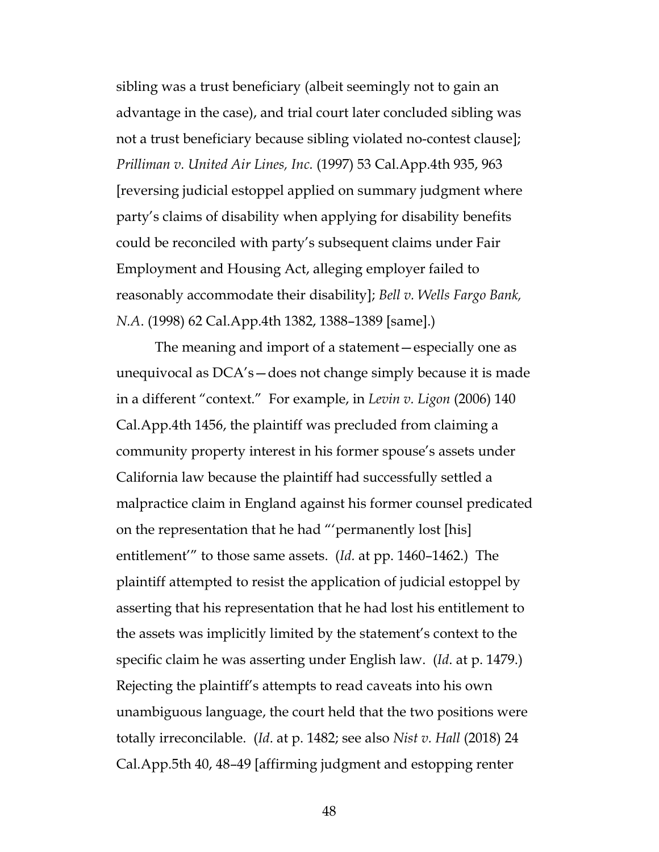<span id="page-47-3"></span>sibling was a trust beneficiary (albeit seemingly not to gain an advantage in the case), and trial court later concluded sibling was not a trust beneficiary because sibling violated no-contest clause]; *Prilliman v. United Air Lines, Inc.* (1997) 53 Cal.App.4th 935, 963 [reversing judicial estoppel applied on summary judgment where party's claims of disability when applying for disability benefits could be reconciled with party's subsequent claims under Fair Employment and Housing Act, alleging employer failed to reasonably accommodate their disability]; *Bell v. Wells Fargo Bank, N.A*. (1998) 62 Cal.App.4th 1382, 1388–1389 [same].)

<span id="page-47-2"></span><span id="page-47-1"></span><span id="page-47-0"></span>The meaning and import of a statement—especially one as unequivocal as DCA's—does not change simply because it is made in a different "context." For example, in *Levin v. Ligon* (2006) 140 Cal.App.4th 1456, the plaintiff was precluded from claiming a community property interest in his former spouse's assets under California law because the plaintiff had successfully settled a malpractice claim in England against his former counsel predicated on the representation that he had "'permanently lost [his] entitlement'" to those same assets. (*Id.* at pp. 1460–1462.) The plaintiff attempted to resist the application of judicial estoppel by asserting that his representation that he had lost his entitlement to the assets was implicitly limited by the statement's context to the specific claim he was asserting under English law. (*Id*. at p. 1479.) Rejecting the plaintiff's attempts to read caveats into his own unambiguous language, the court held that the two positions were totally irreconcilable. (*Id*. at p. 1482; see also *Nist v. Hall* (2018) 24 Cal.App.5th 40, 48–49 [affirming judgment and estopping renter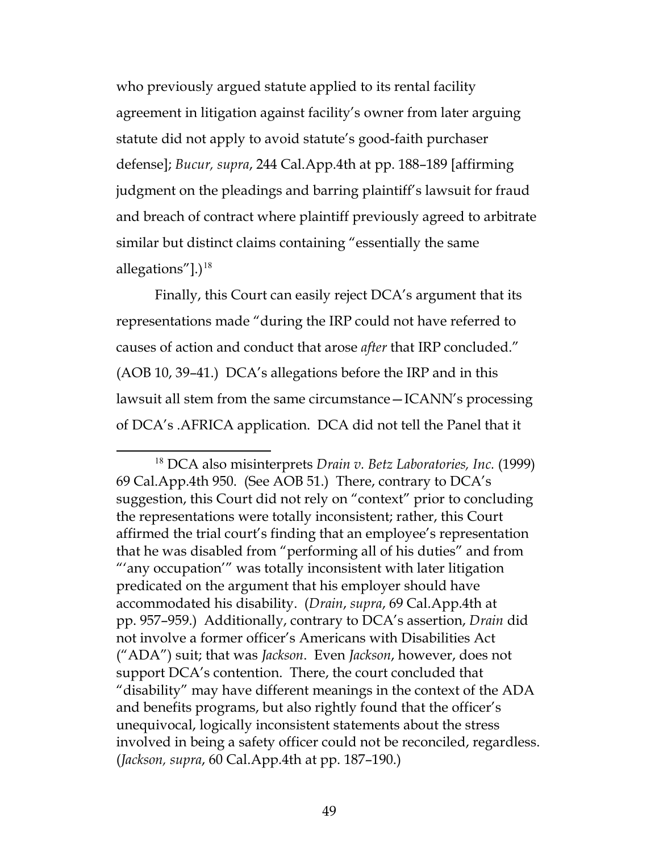<span id="page-48-0"></span>who previously argued statute applied to its rental facility agreement in litigation against facility's owner from later arguing statute did not apply to avoid statute's good-faith purchaser defense]; *Bucur, supra*, 244 Cal.App.4th at pp. 188–189 [affirming judgment on the pleadings and barring plaintiff's lawsuit for fraud and breach of contract where plaintiff previously agreed to arbitrate similar but distinct claims containing "essentially the same allegations"]. $)^{18}$  $)^{18}$  $)^{18}$ 

Finally, this Court can easily reject DCA's argument that its representations made "during the IRP could not have referred to causes of action and conduct that arose *after* that IRP concluded." (AOB 10, 39–41.) DCA's allegations before the IRP and in this lawsuit all stem from the same circumstance—ICANN's processing of DCA's .AFRICA application. DCA did not tell the Panel that it

<span id="page-48-2"></span><span id="page-48-1"></span> <sup>18</sup> DCA also misinterprets *Drain v. Betz Laboratories, Inc.* (1999) 69 Cal.App.4th 950. (See AOB 51.) There, contrary to DCA's suggestion, this Court did not rely on "context" prior to concluding the representations were totally inconsistent; rather, this Court affirmed the trial court's finding that an employee's representation that he was disabled from "performing all of his duties" and from "'any occupation'" was totally inconsistent with later litigation predicated on the argument that his employer should have accommodated his disability. (*Drain*, *supra*, 69 Cal.App.4th at pp. 957–959.) Additionally, contrary to DCA's assertion, *Drain* did not involve a former officer's Americans with Disabilities Act ("ADA") suit; that was *Jackson*. Even *Jackson*, however, does not support DCA's contention. There, the court concluded that "disability" may have different meanings in the context of the ADA and benefits programs, but also rightly found that the officer's unequivocal, logically inconsistent statements about the stress involved in being a safety officer could not be reconciled, regardless. (*Jackson, supra*, 60 Cal.App.4th at pp. 187–190.)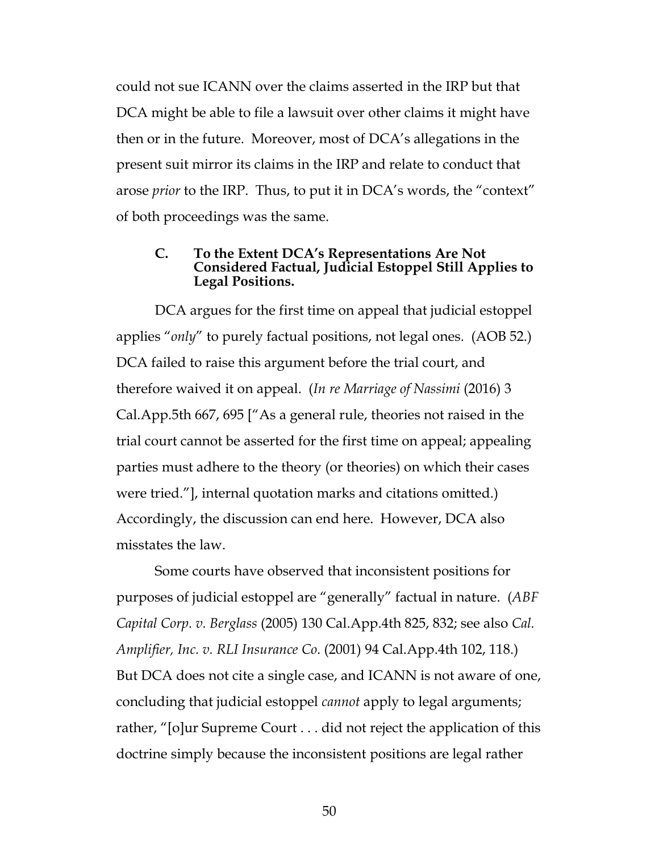could not sue ICANN over the claims asserted in the IRP but that DCA might be able to file a lawsuit over other claims it might have then or in the future. Moreover, most of DCA's allegations in the present suit mirror its claims in the IRP and relate to conduct that arose *prior* to the IRP. Thus, to put it in DCA's words, the "context" of both proceedings was the same.

#### <span id="page-49-2"></span>**C. To the Extent DCA's Representations Are Not Considered Factual, Judicial Estoppel Still Applies to Legal Positions.**

DCA argues for the first time on appeal that judicial estoppel applies "*only*" to purely factual positions, not legal ones. (AOB 52.) DCA failed to raise this argument before the trial court, and therefore waived it on appeal. (*In re Marriage of Nassimi* (2016) 3 Cal.App.5th 667, 695 ["As a general rule, theories not raised in the trial court cannot be asserted for the first time on appeal; appealing parties must adhere to the theory (or theories) on which their cases were tried."], internal quotation marks and citations omitted.) Accordingly, the discussion can end here. However, DCA also misstates the law.

<span id="page-49-1"></span><span id="page-49-0"></span>Some courts have observed that inconsistent positions for purposes of judicial estoppel are "generally" factual in nature. (*ABF Capital Corp. v. Berglass* (2005) 130 Cal.App.4th 825, 832; see also *Cal. Amplifier, Inc. v. RLI Insurance Co*. (2001) 94 Cal.App.4th 102, 118.) But DCA does not cite a single case, and ICANN is not aware of one, concluding that judicial estoppel *cannot* apply to legal arguments; rather, "[o]ur Supreme Court . . . did not reject the application of this doctrine simply because the inconsistent positions are legal rather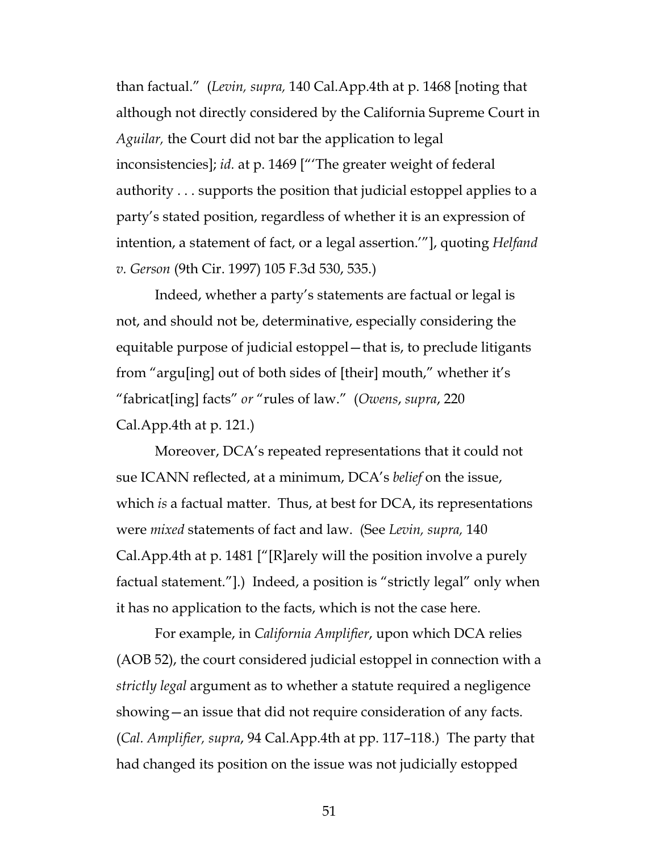than factual." (*Levin, supra,* 140 Cal.App.4th at p. 1468 [noting that although not directly considered by the California Supreme Court in *Aguilar,* the Court did not bar the application to legal inconsistencies]; *id.* at p. 1469 ["'The greater weight of federal authority . . . supports the position that judicial estoppel applies to a party's stated position, regardless of whether it is an expression of intention, a statement of fact, or a legal assertion.'"], quoting *Helfand v. Gerson* (9th Cir. 1997) 105 F.3d 530, 535.)

Indeed, whether a party's statements are factual or legal is not, and should not be, determinative, especially considering the equitable purpose of judicial estoppel—that is, to preclude litigants from "argu[ing] out of both sides of [their] mouth," whether it's "fabricat[ing] facts" *or* "rules of law." (*Owens*, *supra*, 220 Cal.App.4th at p. 121.)

Moreover, DCA's repeated representations that it could not sue ICANN reflected, at a minimum, DCA's *belief* on the issue, which *is* a factual matter. Thus, at best for DCA, its representations were *mixed* statements of fact and law. (See *Levin, supra,* 140 Cal.App.4th at p. 1481 ["[R]arely will the position involve a purely factual statement."].) Indeed, a position is "strictly legal" only when it has no application to the facts, which is not the case here.

<span id="page-50-0"></span>For example, in *California Amplifier*, upon which DCA relies (AOB 52), the court considered judicial estoppel in connection with a *strictly legal* argument as to whether a statute required a negligence showing—an issue that did not require consideration of any facts. (*Cal. Amplifier, supra*, 94 Cal.App.4th at pp. 117–118.) The party that had changed its position on the issue was not judicially estopped

51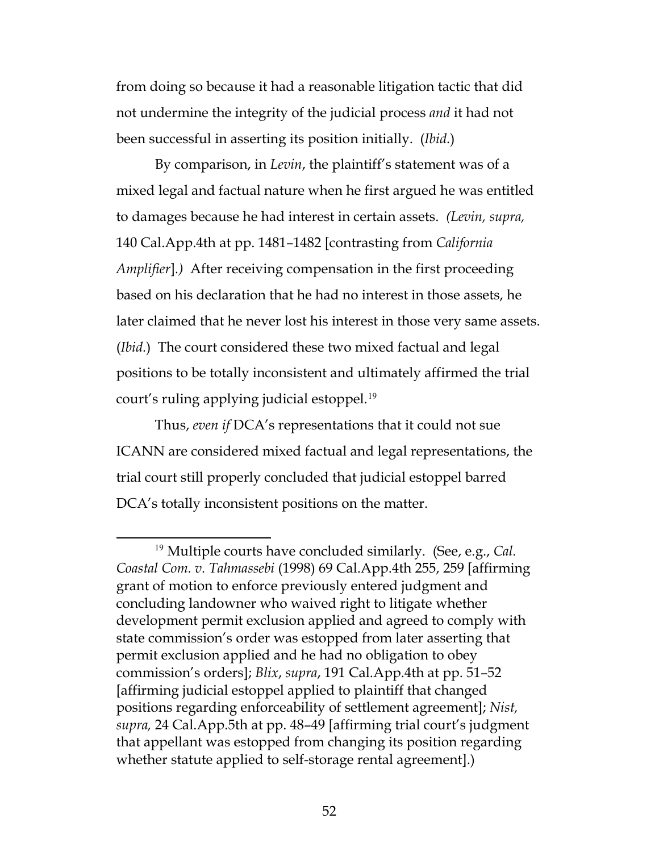from doing so because it had a reasonable litigation tactic that did not undermine the integrity of the judicial process *and* it had not been successful in asserting its position initially. (*Ibid.*)

<span id="page-51-0"></span>By comparison, in *Levin*, the plaintiff's statement was of a mixed legal and factual nature when he first argued he was entitled to damages because he had interest in certain assets. *(Levin, supra,*  140 Cal.App.4th at pp. 1481–1482 [contrasting from *California Amplifier*]*.)* After receiving compensation in the first proceeding based on his declaration that he had no interest in those assets, he later claimed that he never lost his interest in those very same assets. (*Ibid.*) The court considered these two mixed factual and legal positions to be totally inconsistent and ultimately affirmed the trial court's ruling applying judicial estoppel.<sup>[19](#page-51-3)</sup>

Thus, *even if* DCA's representations that it could not sue ICANN are considered mixed factual and legal representations, the trial court still properly concluded that judicial estoppel barred DCA's totally inconsistent positions on the matter.

<span id="page-51-3"></span><span id="page-51-2"></span><span id="page-51-1"></span> <sup>19</sup> Multiple courts have concluded similarly. (See, e.g., *Cal. Coastal Com. v. Tahmassebi* (1998) 69 Cal.App.4th 255, 259 [affirming grant of motion to enforce previously entered judgment and concluding landowner who waived right to litigate whether development permit exclusion applied and agreed to comply with state commission's order was estopped from later asserting that permit exclusion applied and he had no obligation to obey commission's orders]; *Blix*, *supra*, 191 Cal.App.4th at pp. 51–52 [affirming judicial estoppel applied to plaintiff that changed positions regarding enforceability of settlement agreement]; *Nist, supra,* 24 Cal.App.5th at pp. 48–49 [affirming trial court's judgment that appellant was estopped from changing its position regarding whether statute applied to self-storage rental agreement].)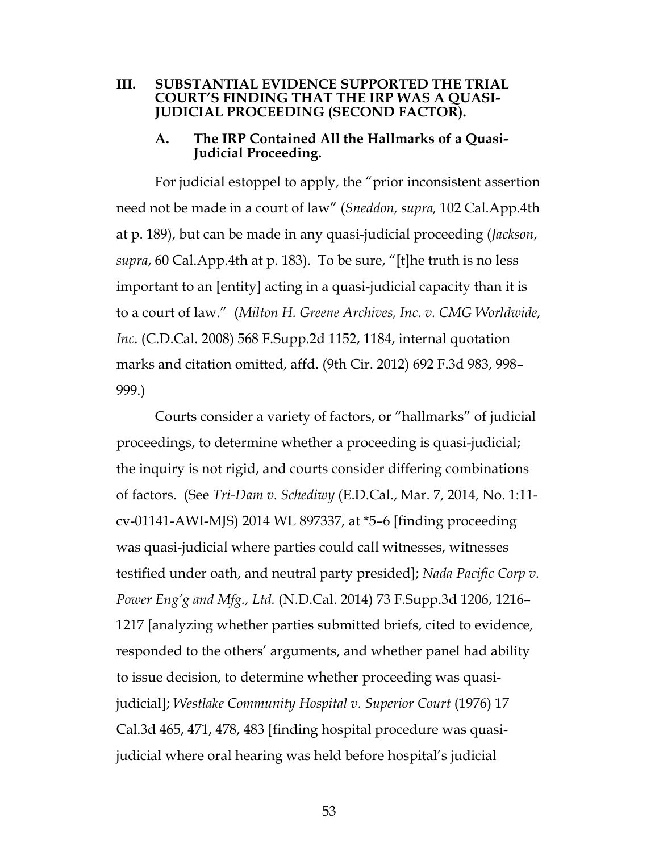#### **III. SUBSTANTIAL EVIDENCE SUPPORTED THE TRIAL COURT'S FINDING THAT THE IRP WAS A QUASI-JUDICIAL PROCEEDING (SECOND FACTOR).**

# <span id="page-52-2"></span>**A. The IRP Contained All the Hallmarks of a Quasi- Judicial Proceeding.**

For judicial estoppel to apply, the "prior inconsistent assertion need not be made in a court of law" (*Sneddon, supra,* 102 Cal.App.4th at p. 189), but can be made in any quasi-judicial proceeding (*Jackson*, *supra*, 60 Cal.App.4th at p. 183). To be sure, "[t]he truth is no less important to an [entity] acting in a quasi-judicial capacity than it is to a court of law." (*Milton H. Greene Archives, Inc. v. CMG Worldwide, Inc*. (C.D.Cal. 2008) 568 F.Supp.2d 1152, 1184, internal quotation marks and citation omitted, affd. (9th Cir. 2012) 692 F.3d 983, 998– 999.)

<span id="page-52-4"></span><span id="page-52-3"></span><span id="page-52-1"></span><span id="page-52-0"></span>Courts consider a variety of factors, or "hallmarks" of judicial proceedings, to determine whether a proceeding is quasi-judicial; the inquiry is not rigid, and courts consider differing combinations of factors. (See *Tri-Dam v. Schediwy* (E.D.Cal., Mar. 7, 2014, No. 1:11 cv-01141-AWI-MJS) 2014 WL 897337, at \*5–6 [finding proceeding was quasi-judicial where parties could call witnesses, witnesses testified under oath, and neutral party presided]; *Nada Pacific Corp v. Power Eng'g and Mfg., Ltd.* (N.D.Cal. 2014) 73 F.Supp.3d 1206, 1216– 1217 [analyzing whether parties submitted briefs, cited to evidence, responded to the others' arguments, and whether panel had ability to issue decision, to determine whether proceeding was quasijudicial]; *Westlake Community Hospital v. Superior Court* (1976) 17 Cal.3d 465, 471, 478, 483 [finding hospital procedure was quasijudicial where oral hearing was held before hospital's judicial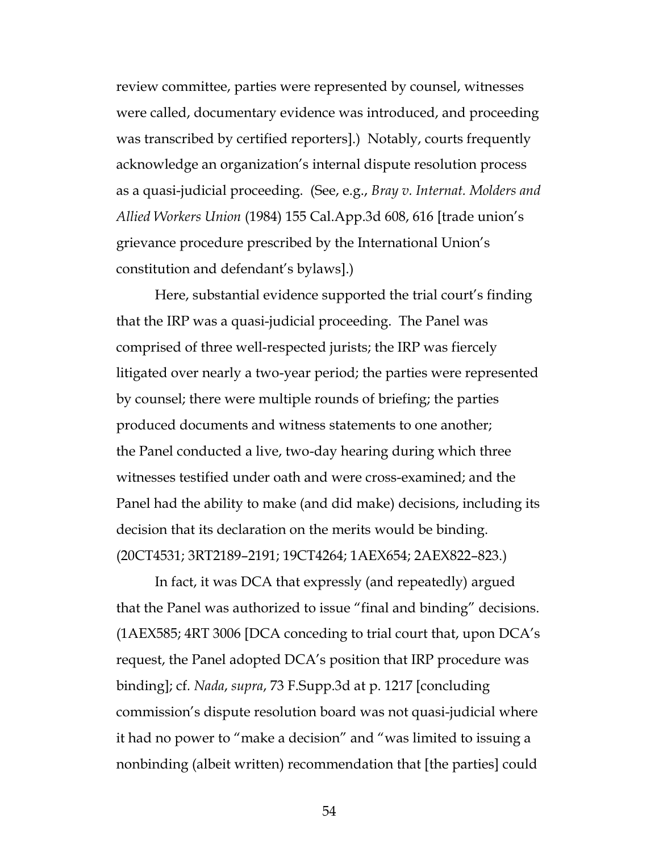<span id="page-53-0"></span>review committee, parties were represented by counsel, witnesses were called, documentary evidence was introduced, and proceeding was transcribed by certified reporters].) Notably, courts frequently acknowledge an organization's internal dispute resolution process as a quasi-judicial proceeding. (See, e.g., *Bray v. Internat. Molders and Allied Workers Union* (1984) 155 Cal.App.3d 608, 616 [trade union's grievance procedure prescribed by the International Union's constitution and defendant's bylaws].)

Here, substantial evidence supported the trial court's finding that the IRP was a quasi-judicial proceeding. The Panel was comprised of three well-respected jurists; the IRP was fiercely litigated over nearly a two-year period; the parties were represented by counsel; there were multiple rounds of briefing; the parties produced documents and witness statements to one another; the Panel conducted a live, two-day hearing during which three witnesses testified under oath and were cross-examined; and the Panel had the ability to make (and did make) decisions, including its decision that its declaration on the merits would be binding. (20CT4531; 3RT2189–2191; 19CT4264; 1AEX654; 2AEX822–823.)

<span id="page-53-1"></span>In fact, it was DCA that expressly (and repeatedly) argued that the Panel was authorized to issue "final and binding" decisions. (1AEX585; 4RT 3006 [DCA conceding to trial court that, upon DCA's request, the Panel adopted DCA's position that IRP procedure was binding]; cf*. Nada*, *supra*, 73 F.Supp.3d at p. 1217 [concluding commission's dispute resolution board was not quasi-judicial where it had no power to "make a decision" and "was limited to issuing a nonbinding (albeit written) recommendation that [the parties] could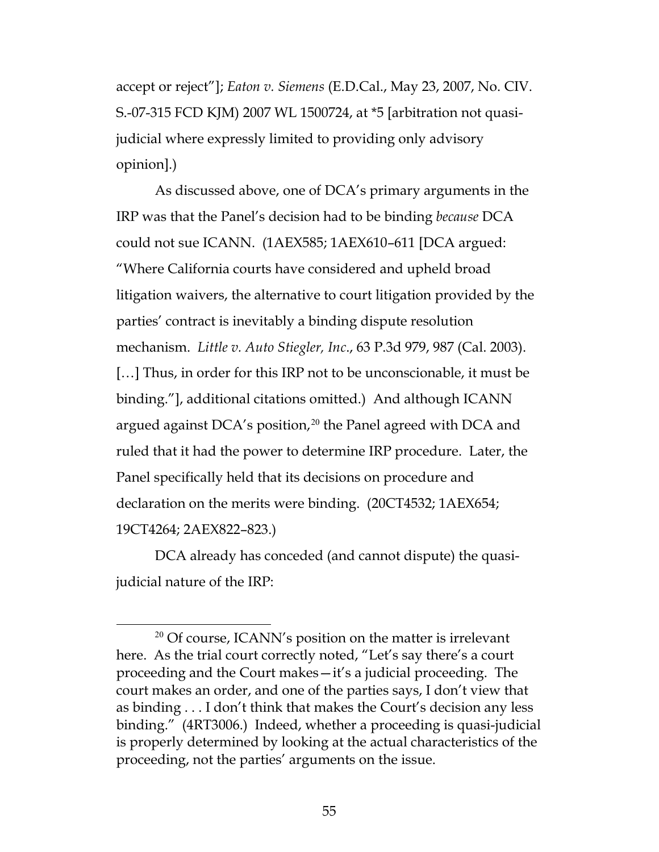<span id="page-54-0"></span>accept or reject"]; *Eaton v. Siemens* (E.D.Cal., May 23, 2007, No. CIV. S.-07-315 FCD KJM) 2007 WL 1500724, at \*5 [arbitration not quasijudicial where expressly limited to providing only advisory opinion].)

<span id="page-54-1"></span>As discussed above, one of DCA's primary arguments in the IRP was that the Panel's decision had to be binding *because* DCA could not sue ICANN. (1AEX585; 1AEX610–611 [DCA argued: "Where California courts have considered and upheld broad litigation waivers, the alternative to court litigation provided by the parties' contract is inevitably a binding dispute resolution mechanism. *Little v. Auto Stiegler, Inc*., 63 P.3d 979, 987 (Cal. 2003). [...] Thus, in order for this IRP not to be unconscionable, it must be binding."], additional citations omitted.) And although ICANN argued against DCA's position,<sup>[20](#page-54-2)</sup> the Panel agreed with DCA and ruled that it had the power to determine IRP procedure. Later, the Panel specifically held that its decisions on procedure and declaration on the merits were binding. (20CT4532; 1AEX654; 19CT4264; 2AEX822–823.)

DCA already has conceded (and cannot dispute) the quasijudicial nature of the IRP:

<span id="page-54-2"></span> $20$  Of course, ICANN's position on the matter is irrelevant here. As the trial court correctly noted, "Let's say there's a court proceeding and the Court makes—it's a judicial proceeding. The court makes an order, and one of the parties says, I don't view that as binding . . . I don't think that makes the Court's decision any less binding." (4RT3006.) Indeed, whether a proceeding is quasi-judicial is properly determined by looking at the actual characteristics of the proceeding, not the parties' arguments on the issue.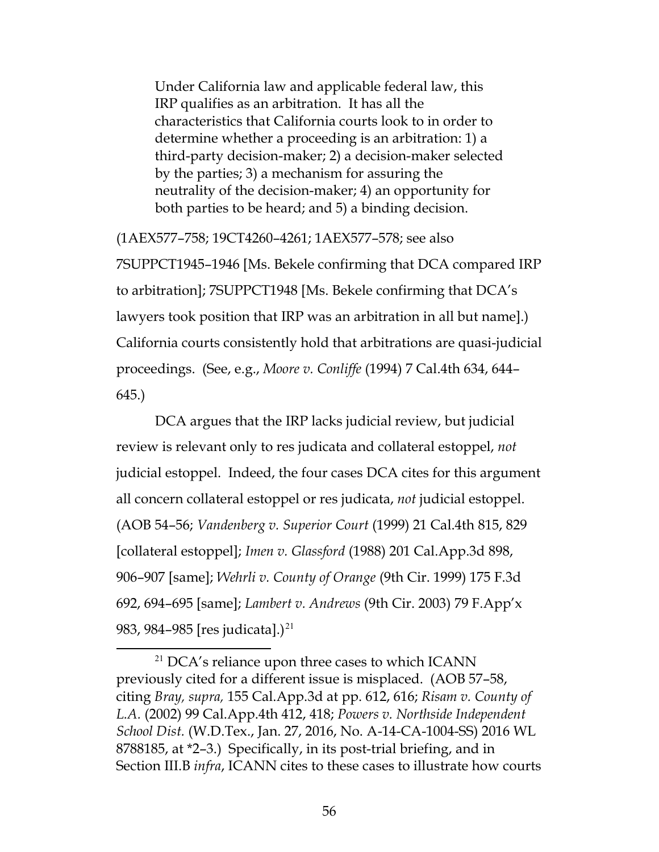Under California law and applicable federal law, this IRP qualifies as an arbitration. It has all the characteristics that California courts look to in order to determine whether a proceeding is an arbitration: 1) a third-party decision-maker; 2) a decision-maker selected by the parties; 3) a mechanism for assuring the neutrality of the decision-maker; 4) an opportunity for both parties to be heard; and 5) a binding decision.

(1AEX577–758; 19CT4260–4261; 1AEX577–578; see also 7SUPPCT1945–1946 [Ms. Bekele confirming that DCA compared IRP to arbitration]; 7SUPPCT1948 [Ms. Bekele confirming that DCA's lawyers took position that IRP was an arbitration in all but name].) California courts consistently hold that arbitrations are quasi-judicial proceedings. (See, e.g., *Moore v. Conliffe* (1994) 7 Cal.4th 634, 644– 645.)

<span id="page-55-5"></span><span id="page-55-2"></span>DCA argues that the IRP lacks judicial review, but judicial review is relevant only to res judicata and collateral estoppel, *not* judicial estoppel. Indeed, the four cases DCA cites for this argument all concern collateral estoppel or res judicata, *not* judicial estoppel. (AOB 54–56; *Vandenberg v. Superior Court* (1999) 21 Cal.4th 815, 829 [collateral estoppel]; *Imen v. Glassford* (1988) 201 Cal.App.3d 898, 906–907 [same]; *Wehrli v. County of Orange* (9th Cir. 1999) 175 F.3d 692, 694–695 [same]; *Lambert v. Andrews* (9th Cir. 2003) 79 F.App'x 983, 984–985 [res judicata].)<sup>[21](#page-55-7)</sup>

<span id="page-55-7"></span><span id="page-55-6"></span><span id="page-55-4"></span><span id="page-55-3"></span><span id="page-55-1"></span><span id="page-55-0"></span><sup>&</sup>lt;sup>21</sup> DCA's reliance upon three cases to which ICANN previously cited for a different issue is misplaced. (AOB 57–58, citing *Bray, supra,* 155 Cal.App.3d at pp. 612, 616; *Risam v. County of L.A.* (2002) 99 Cal.App.4th 412, 418; *Powers v. Northside Independent School Dist.* (W.D.Tex., Jan. 27, 2016, No. A-14-CA-1004-SS) 2016 WL 8788185, at \*2–3.) Specifically, in its post-trial briefing, and in Section III.B *infra*, ICANN cites to these cases to illustrate how courts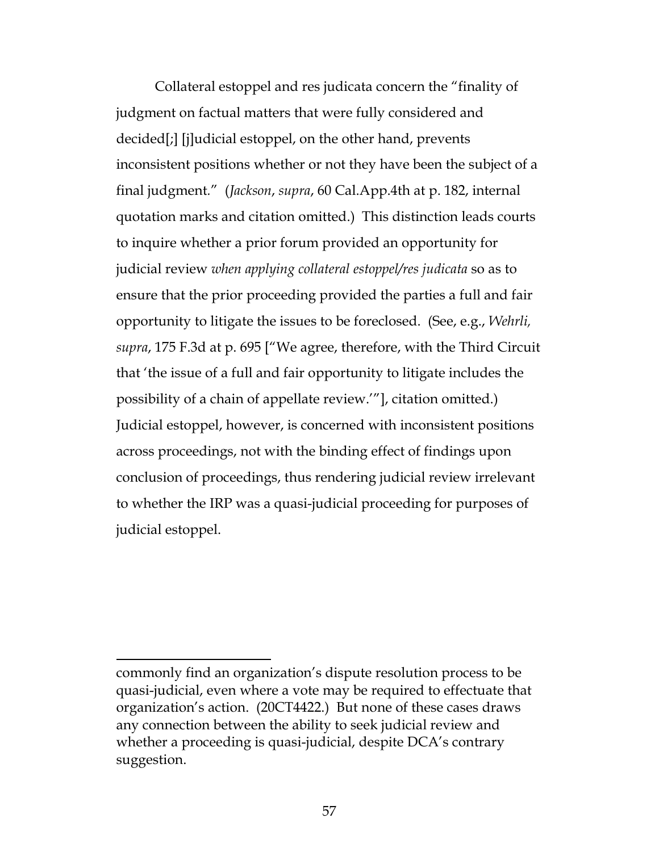<span id="page-56-0"></span>Collateral estoppel and res judicata concern the "finality of judgment on factual matters that were fully considered and decided[;] [j]udicial estoppel, on the other hand, prevents inconsistent positions whether or not they have been the subject of a final judgment*.*"(*Jackson*, *supra*, 60 Cal.App.4th at p. 182, internal quotation marks and citation omitted.) This distinction leads courts to inquire whether a prior forum provided an opportunity for judicial review *when applying collateral estoppel/res judicata* so as to ensure that the prior proceeding provided the parties a full and fair opportunity to litigate the issues to be foreclosed. (See, e.g., *Wehrli, supra*, 175 F.3d at p. 695 ["We agree, therefore, with the Third Circuit that 'the issue of a full and fair opportunity to litigate includes the possibility of a chain of appellate review.'"], citation omitted.) Judicial estoppel, however, is concerned with inconsistent positions across proceedings, not with the binding effect of findings upon conclusion of proceedings, thus rendering judicial review irrelevant to whether the IRP was a quasi-judicial proceeding for purposes of judicial estoppel.

 $\overline{a}$ 

commonly find an organization's dispute resolution process to be quasi-judicial, even where a vote may be required to effectuate that organization's action. (20CT4422.) But none of these cases draws any connection between the ability to seek judicial review and whether a proceeding is quasi-judicial, despite DCA's contrary suggestion.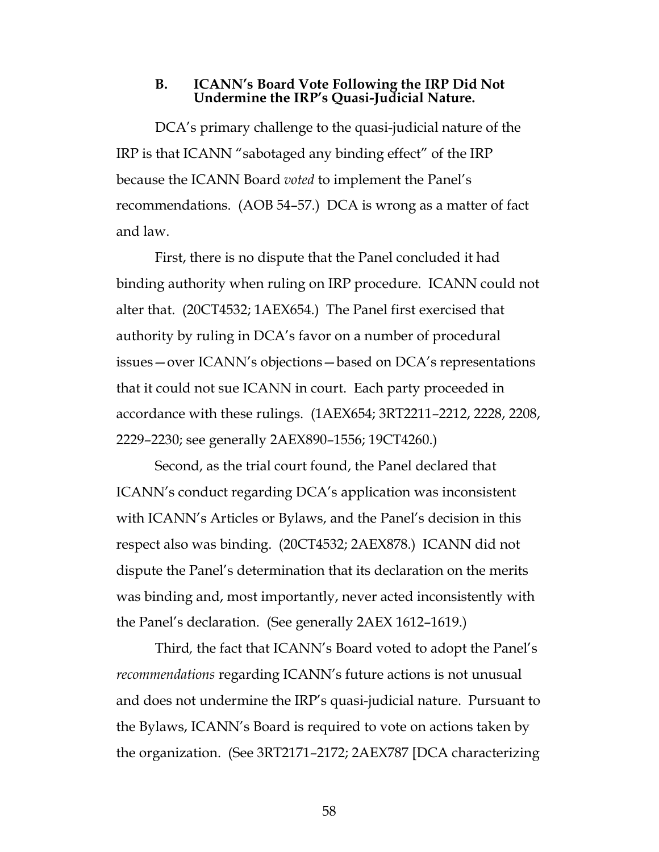#### **B. ICANN's Board Vote Following the IRP Did Not Undermine the IRP's Quasi-Judicial Nature.**

DCA's primary challenge to the quasi-judicial nature of the IRP is that ICANN "sabotaged any binding effect" of the IRP because the ICANN Board *voted* to implement the Panel's recommendations. (AOB 54–57.) DCA is wrong as a matter of fact and law.

First, there is no dispute that the Panel concluded it had binding authority when ruling on IRP procedure. ICANN could not alter that. (20CT4532; 1AEX654.) The Panel first exercised that authority by ruling in DCA's favor on a number of procedural issues—over ICANN's objections—based on DCA's representations that it could not sue ICANN in court. Each party proceeded in accordance with these rulings. (1AEX654; 3RT2211–2212, 2228, 2208, 2229–2230; see generally 2AEX890–1556; 19CT4260.)

Second, as the trial court found, the Panel declared that ICANN's conduct regarding DCA's application was inconsistent with ICANN's Articles or Bylaws, and the Panel's decision in this respect also was binding. (20CT4532; 2AEX878.) ICANN did not dispute the Panel's determination that its declaration on the merits was binding and, most importantly, never acted inconsistently with the Panel's declaration. (See generally 2AEX 1612–1619.)

Third*,* the fact that ICANN's Board voted to adopt the Panel's *recommendations* regarding ICANN's future actions is not unusual and does not undermine the IRP's quasi-judicial nature. Pursuant to the Bylaws, ICANN's Board is required to vote on actions taken by the organization. (See 3RT2171–2172; 2AEX787 [DCA characterizing

58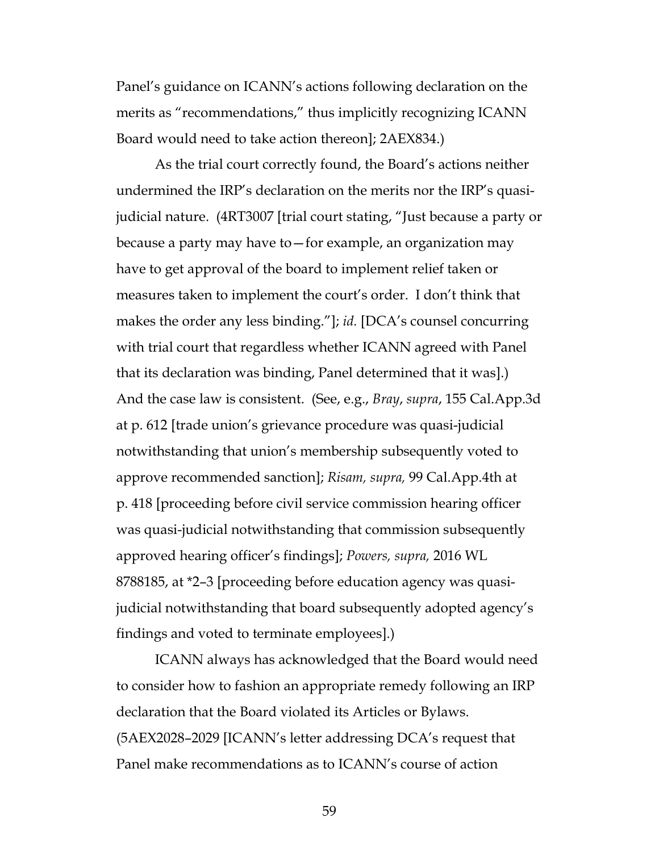Panel's guidance on ICANN's actions following declaration on the merits as "recommendations," thus implicitly recognizing ICANN Board would need to take action thereon]; 2AEX834.)

<span id="page-58-0"></span>As the trial court correctly found, the Board's actions neither undermined the IRP's declaration on the merits nor the IRP's quasijudicial nature. (4RT3007 [trial court stating, "Just because a party or because a party may have to—for example, an organization may have to get approval of the board to implement relief taken or measures taken to implement the court's order. I don't think that makes the order any less binding."]; *id.* [DCA's counsel concurring with trial court that regardless whether ICANN agreed with Panel that its declaration was binding, Panel determined that it was].) And the case law is consistent. (See, e.g., *Bray*, *supra*, 155 Cal.App.3d at p. 612 [trade union's grievance procedure was quasi-judicial notwithstanding that union's membership subsequently voted to approve recommended sanction]; *Risam, supra,* 99 Cal.App.4th at p. 418 [proceeding before civil service commission hearing officer was quasi-judicial notwithstanding that commission subsequently approved hearing officer's findings]; *Powers, supra,* 2016 WL 8788185, at \*2–3 [proceeding before education agency was quasijudicial notwithstanding that board subsequently adopted agency's findings and voted to terminate employees].)

<span id="page-58-2"></span>ICANN always has acknowledged that the Board would need to consider how to fashion an appropriate remedy following an IRP declaration that the Board violated its Articles or Bylaws. (5AEX2028–2029 [ICANN's letter addressing DCA's request that Panel make recommendations as to ICANN's course of action

<span id="page-58-1"></span>59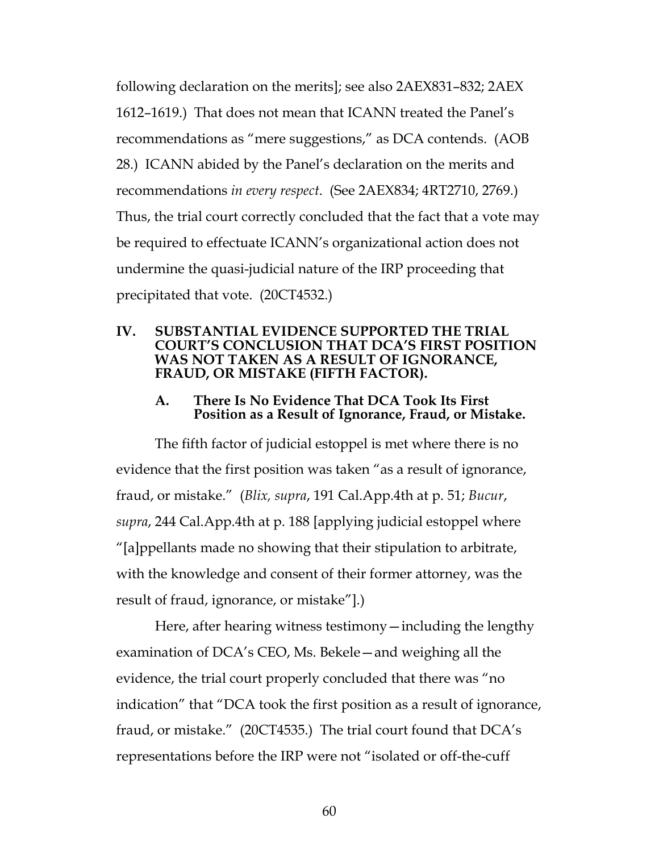following declaration on the merits]; see also 2AEX831–832; 2AEX 1612–1619.) That does not mean that ICANN treated the Panel's recommendations as "mere suggestions," as DCA contends. (AOB 28.) ICANN abided by the Panel's declaration on the merits and recommendations *in every respect*. (See 2AEX834; 4RT2710, 2769.) Thus, the trial court correctly concluded that the fact that a vote may be required to effectuate ICANN's organizational action does not undermine the quasi-judicial nature of the IRP proceeding that precipitated that vote. (20CT4532.)

#### **IV. SUBSTANTIAL EVIDENCE SUPPORTED THE TRIAL COURT'S CONCLUSION THAT DCA'S FIRST POSITION WAS NOT TAKEN AS A RESULT OF IGNORANCE, FRAUD, OR MISTAKE (FIFTH FACTOR).**

#### <span id="page-59-0"></span>**A. There Is No Evidence That DCA Took Its First Position as a Result of Ignorance, Fraud, or Mistake.**

The fifth factor of judicial estoppel is met where there is no evidence that the first position was taken "as a result of ignorance, fraud, or mistake." (*Blix, supra*, 191 Cal.App.4th at p. 51; *Bucur*, *supra*, 244 Cal.App.4th at p. 188 [applying judicial estoppel where "[a]ppellants made no showing that their stipulation to arbitrate, with the knowledge and consent of their former attorney, was the result of fraud, ignorance, or mistake"].)

Here, after hearing witness testimony—including the lengthy examination of DCA's CEO, Ms. Bekele—and weighing all the evidence, the trial court properly concluded that there was "no indication" that "DCA took the first position as a result of ignorance, fraud, or mistake." (20CT4535.) The trial court found that DCA's representations before the IRP were not "isolated or off-the-cuff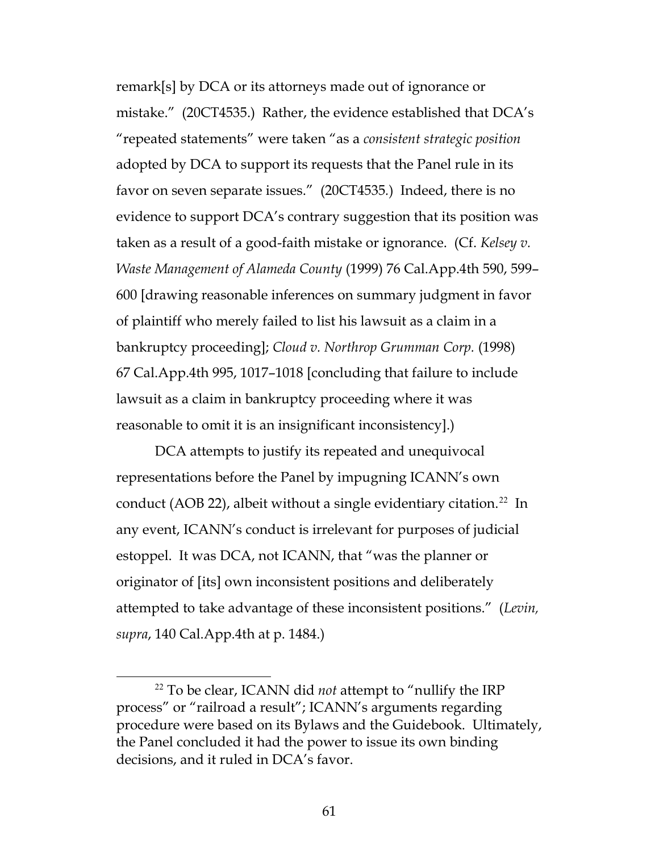<span id="page-60-1"></span>remark[s] by DCA or its attorneys made out of ignorance or mistake." (20CT4535.) Rather, the evidence established that DCA's "repeated statements" were taken "as a *consistent strategic position*  adopted by DCA to support its requests that the Panel rule in its favor on seven separate issues." (20CT4535*.*) Indeed, there is no evidence to support DCA's contrary suggestion that its position was taken as a result of a good-faith mistake or ignorance. (Cf. *Kelsey v. Waste Management of Alameda County* (1999) 76 Cal.App.4th 590, 599– 600 [drawing reasonable inferences on summary judgment in favor of plaintiff who merely failed to list his lawsuit as a claim in a bankruptcy proceeding]; *Cloud v. Northrop Grumman Corp.* (1998) 67 Cal.App.4th 995, 1017–1018 [concluding that failure to include lawsuit as a claim in bankruptcy proceeding where it was reasonable to omit it is an insignificant inconsistency].)

<span id="page-60-0"></span>DCA attempts to justify its repeated and unequivocal representations before the Panel by impugning ICANN's own conduct (AOB [22](#page-60-2)), albeit without a single evidentiary citation.<sup>22</sup> In any event, ICANN's conduct is irrelevant for purposes of judicial estoppel. It was DCA, not ICANN, that "was the planner or originator of [its] own inconsistent positions and deliberately attempted to take advantage of these inconsistent positions." (*Levin, supra*, 140 Cal.App.4th at p. 1484.)

<span id="page-60-2"></span> <sup>22</sup> To be clear, ICANN did *not* attempt to "nullify the IRP process" or "railroad a result"; ICANN's arguments regarding procedure were based on its Bylaws and the Guidebook. Ultimately, the Panel concluded it had the power to issue its own binding decisions, and it ruled in DCA's favor.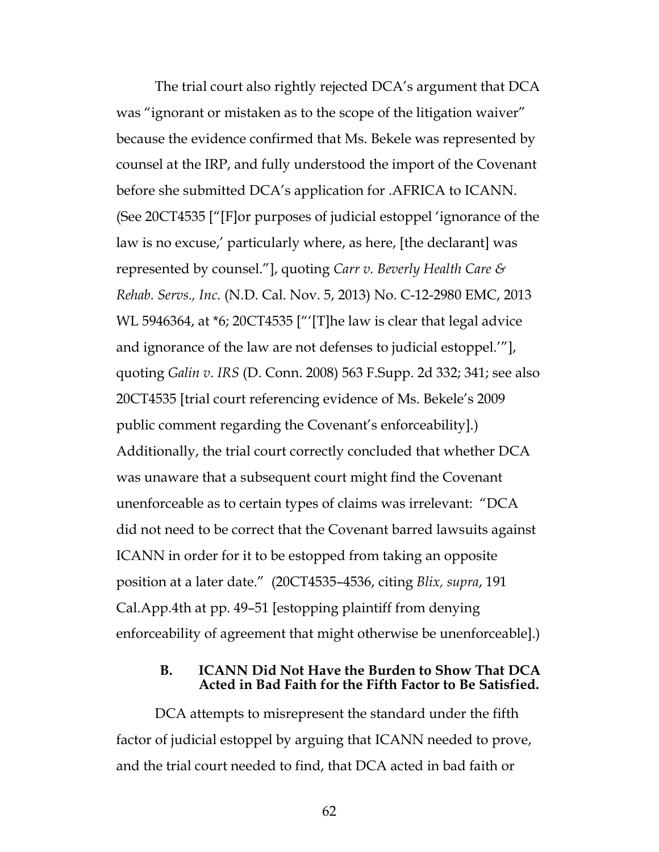The trial court also rightly rejected DCA's argument that DCA was "ignorant or mistaken as to the scope of the litigation waiver" because the evidence confirmed that Ms. Bekele was represented by counsel at the IRP, and fully understood the import of the Covenant before she submitted DCA's application for .AFRICA to ICANN. (See 20CT4535 ["[F]or purposes of judicial estoppel 'ignorance of the law is no excuse,' particularly where, as here, [the declarant] was represented by counsel."], quoting *Carr v. Beverly Health Care & Rehab. Servs., Inc.* (N.D. Cal. Nov. 5, 2013) No. C-12-2980 EMC, 2013 WL 5946364, at \*6; 20CT4535 ["'[T]he law is clear that legal advice and ignorance of the law are not defenses to judicial estoppel.'"], quoting *Galin v. IRS* (D. Conn. 2008) 563 F.Supp. 2d 332; 341; see also 20CT4535 [trial court referencing evidence of Ms. Bekele's 2009 public comment regarding the Covenant's enforceability].) Additionally, the trial court correctly concluded that whether DCA was unaware that a subsequent court might find the Covenant unenforceable as to certain types of claims was irrelevant: "DCA did not need to be correct that the Covenant barred lawsuits against ICANN in order for it to be estopped from taking an opposite position at a later date." (20CT4535–4536, citing *Blix, supra*, 191 Cal.App.4th at pp. 49–51 [estopping plaintiff from denying enforceability of agreement that might otherwise be unenforceable].)

#### **B. ICANN Did Not Have the Burden to Show That DCA Acted in Bad Faith for the Fifth Factor to Be Satisfied.**

DCA attempts to misrepresent the standard under the fifth factor of judicial estoppel by arguing that ICANN needed to prove, and the trial court needed to find, that DCA acted in bad faith or

62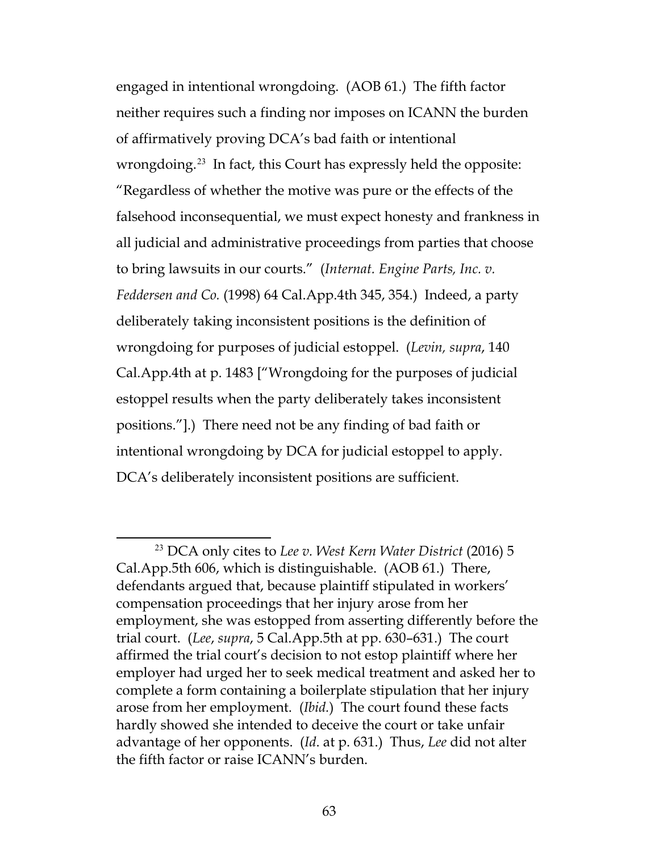<span id="page-62-0"></span>engaged in intentional wrongdoing. (AOB 61.) The fifth factor neither requires such a finding nor imposes on ICANN the burden of affirmatively proving DCA's bad faith or intentional wrongdoing.<sup>[23](#page-62-2)</sup> In fact, this Court has expressly held the opposite: "Regardless of whether the motive was pure or the effects of the falsehood inconsequential, we must expect honesty and frankness in all judicial and administrative proceedings from parties that choose to bring lawsuits in our courts." (*Internat. Engine Parts, Inc. v. Feddersen and Co.* (1998) 64 Cal.App.4th 345, 354.) Indeed, a party deliberately taking inconsistent positions is the definition of wrongdoing for purposes of judicial estoppel. (*Levin, supra*, 140 Cal.App.4th at p. 1483 ["Wrongdoing for the purposes of judicial estoppel results when the party deliberately takes inconsistent positions."].) There need not be any finding of bad faith or intentional wrongdoing by DCA for judicial estoppel to apply. DCA's deliberately inconsistent positions are sufficient.

<span id="page-62-2"></span><span id="page-62-1"></span> <sup>23</sup> DCA only cites to *Lee v. West Kern Water District* (2016) 5 Cal.App.5th 606, which is distinguishable. (AOB 61.) There, defendants argued that, because plaintiff stipulated in workers' compensation proceedings that her injury arose from her employment, she was estopped from asserting differently before the trial court. (*Lee*, *supra*, 5 Cal.App.5th at pp. 630–631.) The court affirmed the trial court's decision to not estop plaintiff where her employer had urged her to seek medical treatment and asked her to complete a form containing a boilerplate stipulation that her injury arose from her employment. (*Ibid.*) The court found these facts hardly showed she intended to deceive the court or take unfair advantage of her opponents. (*Id*. at p. 631.) Thus, *Lee* did not alter the fifth factor or raise ICANN's burden.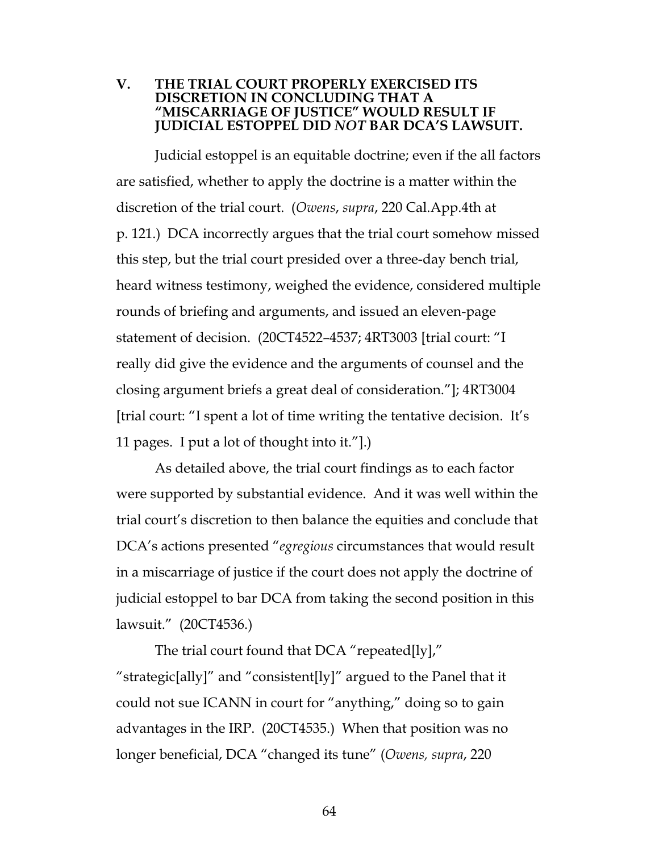#### **V. THE TRIAL COURT PROPERLY EXERCISED ITS DISCRETION IN CONCLUDING THAT A "MISCARRIAGE OF JUSTICE" WOULD RESULT IF JUDICIAL ESTOPPEL DID** *NOT* **BAR DCA'S LAWSUIT.**

Judicial estoppel is an equitable doctrine; even if the all factors are satisfied, whether to apply the doctrine is a matter within the discretion of the trial court. (*Owens*, *supra*, 220 Cal.App.4th at p. 121.) DCA incorrectly argues that the trial court somehow missed this step, but the trial court presided over a three-day bench trial, heard witness testimony, weighed the evidence, considered multiple rounds of briefing and arguments, and issued an eleven-page statement of decision. (20CT4522–4537; 4RT3003 [trial court: "I really did give the evidence and the arguments of counsel and the closing argument briefs a great deal of consideration."]; 4RT3004 [trial court: "I spent a lot of time writing the tentative decision. It's 11 pages. I put a lot of thought into it."].)

As detailed above, the trial court findings as to each factor were supported by substantial evidence. And it was well within the trial court's discretion to then balance the equities and conclude that DCA's actions presented "*egregious* circumstances that would result in a miscarriage of justice if the court does not apply the doctrine of judicial estoppel to bar DCA from taking the second position in this lawsuit." (20CT4536.)

The trial court found that DCA "repeated[ly]," "strategic[ally]" and "consistent[ly]" argued to the Panel that it could not sue ICANN in court for "anything," doing so to gain advantages in the IRP. (20CT4535.) When that position was no longer beneficial, DCA "changed its tune" (*Owens, supra*, 220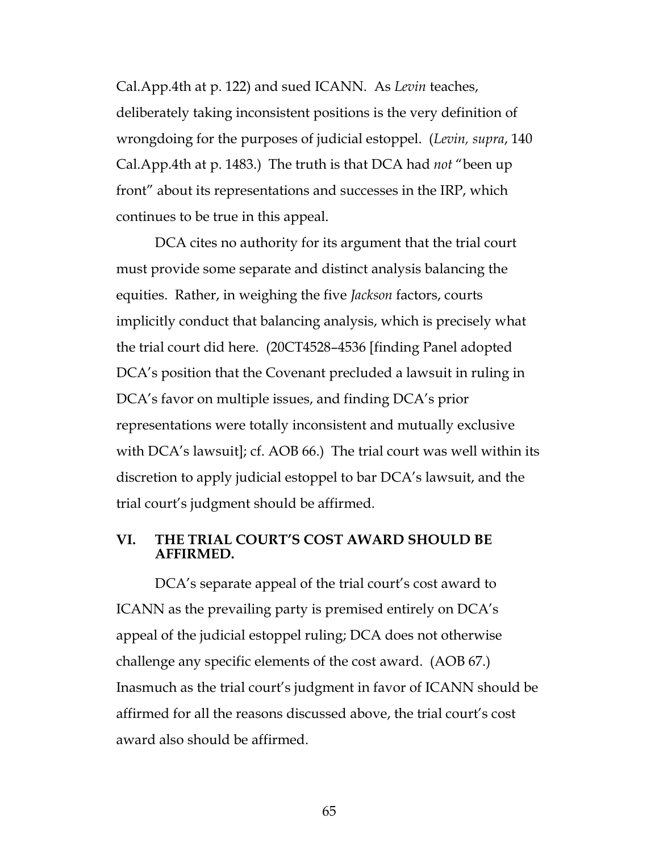Cal.App.4th at p. 122) and sued ICANN. As *Levin* teaches, deliberately taking inconsistent positions is the very definition of wrongdoing for the purposes of judicial estoppel. (*Levin, supra*, 140 Cal.App.4th at p. 1483.) The truth is that DCA had *not* "been up front" about its representations and successes in the IRP, which continues to be true in this appeal.

DCA cites no authority for its argument that the trial court must provide some separate and distinct analysis balancing the equities. Rather, in weighing the five *Jackson* factors, courts implicitly conduct that balancing analysis, which is precisely what the trial court did here. (20CT4528–4536 [finding Panel adopted DCA's position that the Covenant precluded a lawsuit in ruling in DCA's favor on multiple issues, and finding DCA's prior representations were totally inconsistent and mutually exclusive with DCA's lawsuit]; cf. AOB 66.) The trial court was well within its discretion to apply judicial estoppel to bar DCA's lawsuit, and the trial court's judgment should be affirmed.

#### **VI. THE TRIAL COURT'S COST AWARD SHOULD BE AFFIRMED.**

DCA's separate appeal of the trial court's cost award to ICANN as the prevailing party is premised entirely on DCA's appeal of the judicial estoppel ruling; DCA does not otherwise challenge any specific elements of the cost award. (AOB 67.) Inasmuch as the trial court's judgment in favor of ICANN should be affirmed for all the reasons discussed above, the trial court's cost award also should be affirmed.

65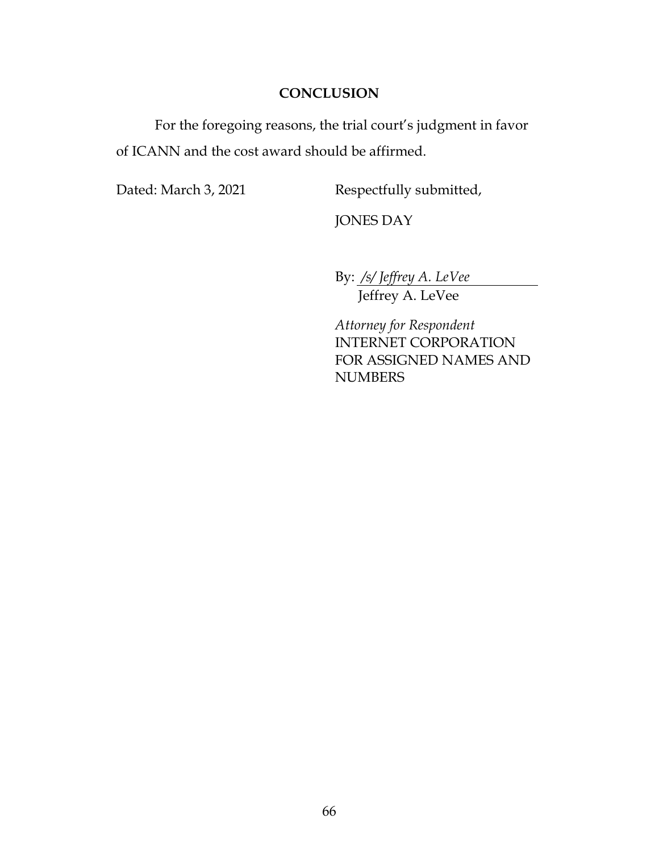### **CONCLUSION**

For the foregoing reasons, the trial court's judgment in favor of ICANN and the cost award should be affirmed.

Dated: March 3, 2021 Respectfully submitted,

JONES DAY

By: */s/ Jeffrey A. LeVee*

Jeffrey A. LeVee

*Attorney for Respondent* INTERNET CORPORATION FOR ASSIGNED NAMES AND **NUMBERS**